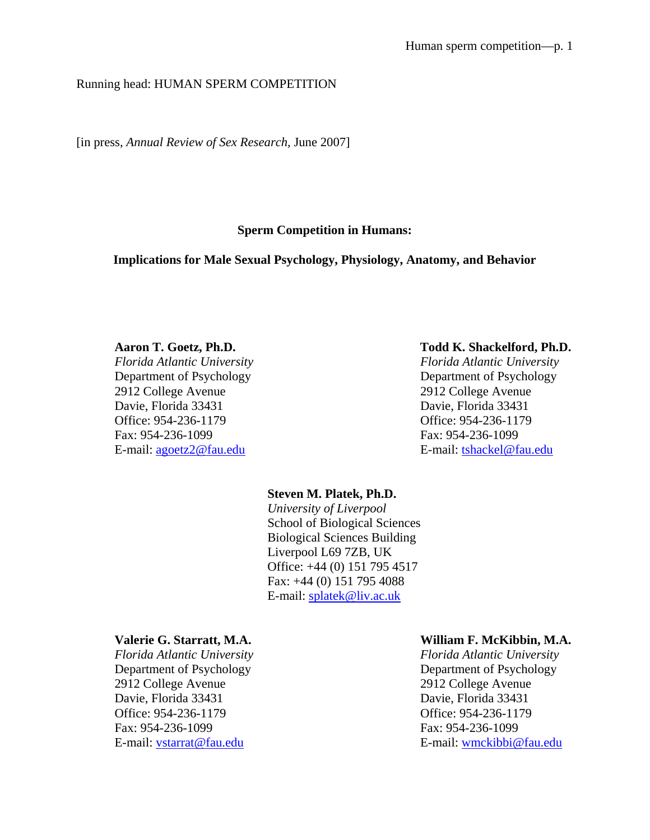# Running head: HUMAN SPERM COMPETITION

[in press, *Annual Review of Sex Research*, June 2007]

# **Sperm Competition in Humans:**

### **Implications for Male Sexual Psychology, Physiology, Anatomy, and Behavior**

2912 College Avenue 2912 College Avenue Davie, Florida 33431 Davie, Florida 33431 Office: 954-236-1179 Office: 954-236-1179 Fax: 954-236-1099 Fax: 954-236-1099 E-mail: agoetz2@fau.edu E-mail: tshackel@fau.edu

#### **Aaron T. Goetz, Ph.D. Todd K. Shackelford, Ph.D.**

*Florida Atlantic University Florida Atlantic University*  Department of Psychology Department of Psychology

# **Steven M. Platek, Ph.D.**  *University of Liverpool*  School of Biological Sciences Biological Sciences Building Liverpool L69 7ZB, UK Office: +44 (0) 151 795 4517 Fax: +44 (0) 151 795 4088 E-mail: splatek@liv.ac.uk

2912 College Avenue 2912 College Avenue Davie, Florida 33431 Davie, Florida 33431 Office: 954-236-1179 Office: 954-236-1179 Fax: 954-236-1099 Fax: 954-236-1099

#### **Valerie G. Starratt, M.A. William F. McKibbin, M.A.**

*Florida Atlantic University Florida Atlantic University*  Department of Psychology Department of Psychology E-mail: vstarrat@fau.edu entitledu E-mail: wmckibbi@fau.edu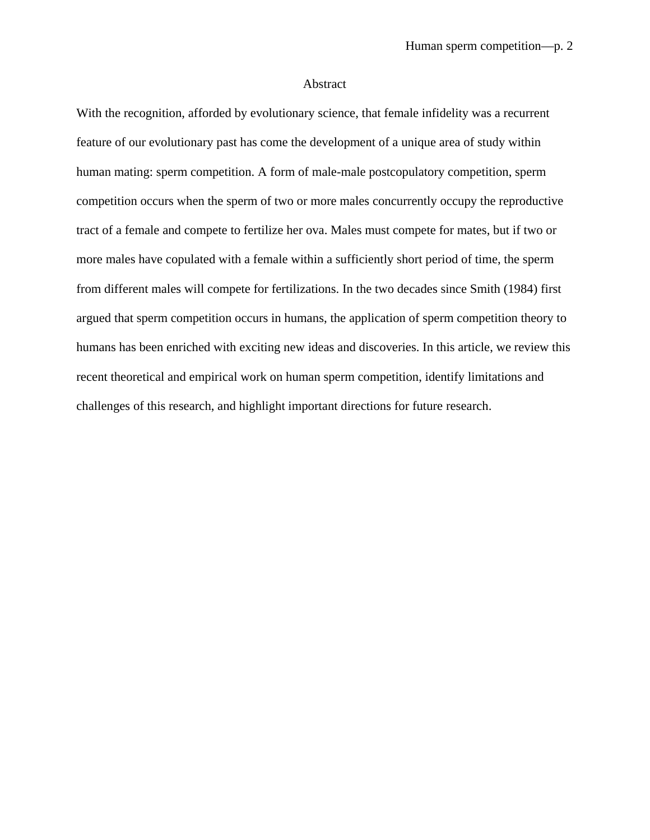#### Abstract

With the recognition, afforded by evolutionary science, that female infidelity was a recurrent feature of our evolutionary past has come the development of a unique area of study within human mating: sperm competition. A form of male-male postcopulatory competition, sperm competition occurs when the sperm of two or more males concurrently occupy the reproductive tract of a female and compete to fertilize her ova. Males must compete for mates, but if two or more males have copulated with a female within a sufficiently short period of time, the sperm from different males will compete for fertilizations. In the two decades since Smith (1984) first argued that sperm competition occurs in humans, the application of sperm competition theory to humans has been enriched with exciting new ideas and discoveries. In this article, we review this recent theoretical and empirical work on human sperm competition, identify limitations and challenges of this research, and highlight important directions for future research.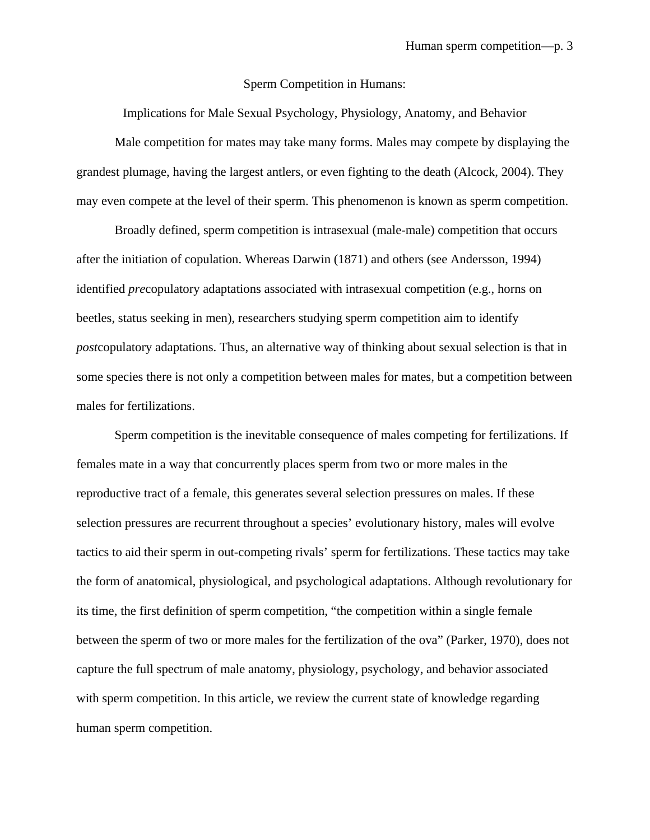#### Sperm Competition in Humans:

Implications for Male Sexual Psychology, Physiology, Anatomy, and Behavior

Male competition for mates may take many forms. Males may compete by displaying the grandest plumage, having the largest antlers, or even fighting to the death (Alcock, 2004). They may even compete at the level of their sperm. This phenomenon is known as sperm competition.

Broadly defined, sperm competition is intrasexual (male-male) competition that occurs after the initiation of copulation. Whereas Darwin (1871) and others (see Andersson, 1994) identified *pre*copulatory adaptations associated with intrasexual competition (e.g., horns on beetles, status seeking in men), researchers studying sperm competition aim to identify *post*copulatory adaptations. Thus, an alternative way of thinking about sexual selection is that in some species there is not only a competition between males for mates, but a competition between males for fertilizations.

Sperm competition is the inevitable consequence of males competing for fertilizations. If females mate in a way that concurrently places sperm from two or more males in the reproductive tract of a female, this generates several selection pressures on males. If these selection pressures are recurrent throughout a species' evolutionary history, males will evolve tactics to aid their sperm in out-competing rivals' sperm for fertilizations. These tactics may take the form of anatomical, physiological, and psychological adaptations. Although revolutionary for its time, the first definition of sperm competition, "the competition within a single female between the sperm of two or more males for the fertilization of the ova" (Parker, 1970), does not capture the full spectrum of male anatomy, physiology, psychology, and behavior associated with sperm competition. In this article, we review the current state of knowledge regarding human sperm competition.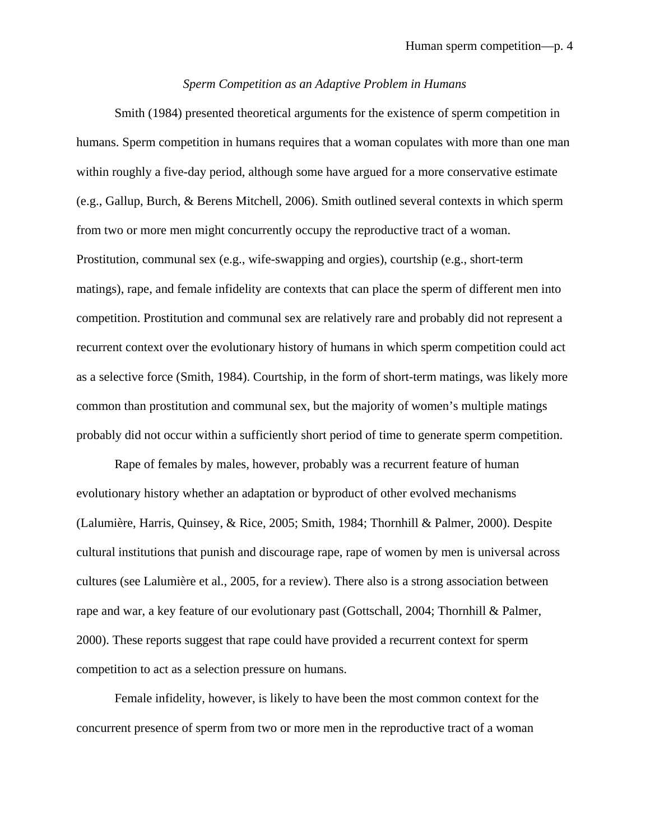#### *Sperm Competition as an Adaptive Problem in Humans*

Smith (1984) presented theoretical arguments for the existence of sperm competition in humans. Sperm competition in humans requires that a woman copulates with more than one man within roughly a five-day period, although some have argued for a more conservative estimate (e.g., Gallup, Burch, & Berens Mitchell, 2006). Smith outlined several contexts in which sperm from two or more men might concurrently occupy the reproductive tract of a woman. Prostitution, communal sex (e.g., wife-swapping and orgies), courtship (e.g., short-term matings), rape, and female infidelity are contexts that can place the sperm of different men into competition. Prostitution and communal sex are relatively rare and probably did not represent a recurrent context over the evolutionary history of humans in which sperm competition could act as a selective force (Smith, 1984). Courtship, in the form of short-term matings, was likely more common than prostitution and communal sex, but the majority of women's multiple matings probably did not occur within a sufficiently short period of time to generate sperm competition.

 Rape of females by males, however, probably was a recurrent feature of human evolutionary history whether an adaptation or byproduct of other evolved mechanisms (Lalumière, Harris, Quinsey, & Rice, 2005; Smith, 1984; Thornhill & Palmer, 2000). Despite cultural institutions that punish and discourage rape, rape of women by men is universal across cultures (see Lalumière et al., 2005, for a review). There also is a strong association between rape and war, a key feature of our evolutionary past (Gottschall, 2004; Thornhill & Palmer, 2000). These reports suggest that rape could have provided a recurrent context for sperm competition to act as a selection pressure on humans.

Female infidelity, however, is likely to have been the most common context for the concurrent presence of sperm from two or more men in the reproductive tract of a woman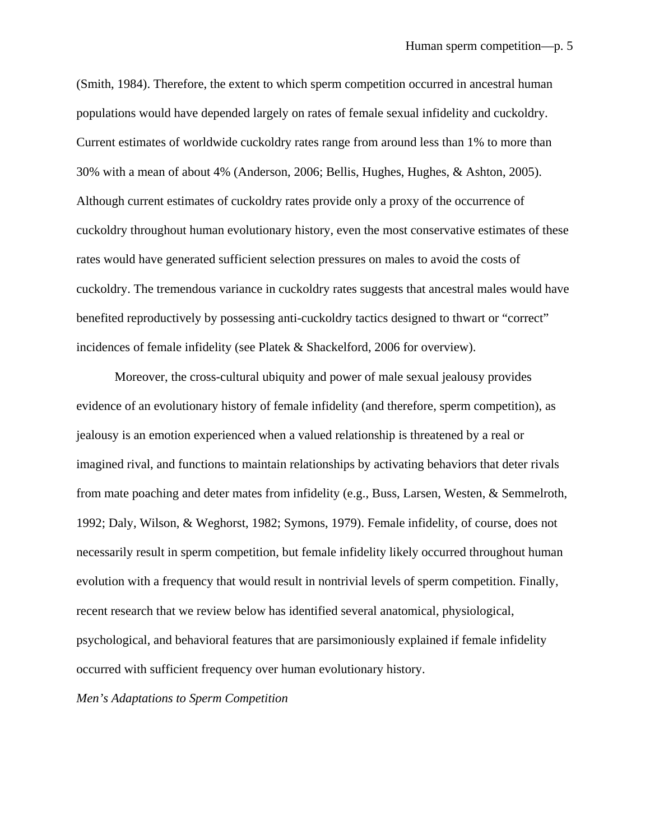(Smith, 1984). Therefore, the extent to which sperm competition occurred in ancestral human populations would have depended largely on rates of female sexual infidelity and cuckoldry. Current estimates of worldwide cuckoldry rates range from around less than 1% to more than 30% with a mean of about 4% (Anderson, 2006; Bellis, Hughes, Hughes, & Ashton, 2005). Although current estimates of cuckoldry rates provide only a proxy of the occurrence of cuckoldry throughout human evolutionary history, even the most conservative estimates of these rates would have generated sufficient selection pressures on males to avoid the costs of cuckoldry. The tremendous variance in cuckoldry rates suggests that ancestral males would have benefited reproductively by possessing anti-cuckoldry tactics designed to thwart or "correct" incidences of female infidelity (see Platek & Shackelford, 2006 for overview).

Moreover, the cross-cultural ubiquity and power of male sexual jealousy provides evidence of an evolutionary history of female infidelity (and therefore, sperm competition), as jealousy is an emotion experienced when a valued relationship is threatened by a real or imagined rival, and functions to maintain relationships by activating behaviors that deter rivals from mate poaching and deter mates from infidelity (e.g., Buss, Larsen, Westen, & Semmelroth, 1992; Daly, Wilson, & Weghorst, 1982; Symons, 1979). Female infidelity, of course, does not necessarily result in sperm competition, but female infidelity likely occurred throughout human evolution with a frequency that would result in nontrivial levels of sperm competition. Finally, recent research that we review below has identified several anatomical, physiological, psychological, and behavioral features that are parsimoniously explained if female infidelity occurred with sufficient frequency over human evolutionary history.

*Men's Adaptations to Sperm Competition*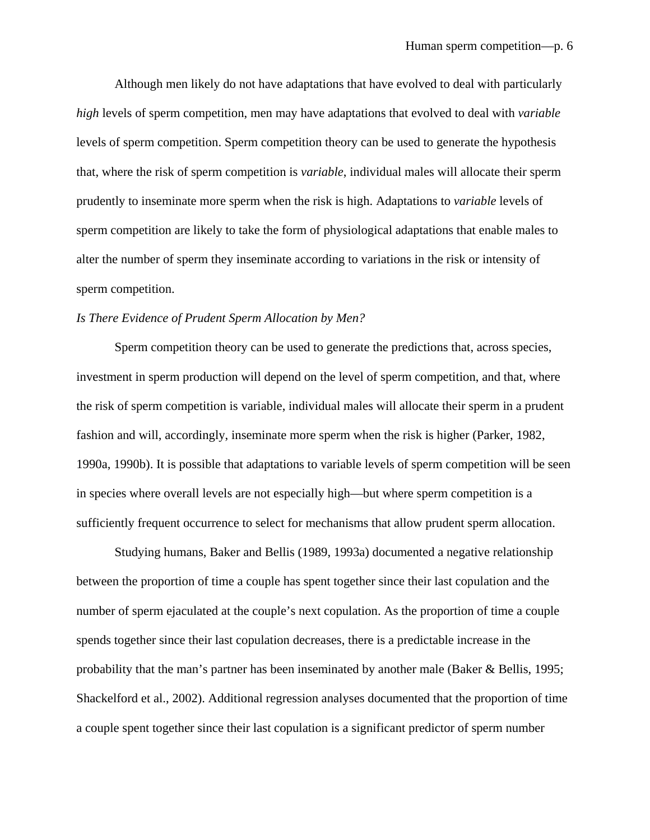Although men likely do not have adaptations that have evolved to deal with particularly *high* levels of sperm competition, men may have adaptations that evolved to deal with *variable* levels of sperm competition. Sperm competition theory can be used to generate the hypothesis that, where the risk of sperm competition is *variable*, individual males will allocate their sperm prudently to inseminate more sperm when the risk is high. Adaptations to *variable* levels of sperm competition are likely to take the form of physiological adaptations that enable males to alter the number of sperm they inseminate according to variations in the risk or intensity of sperm competition.

#### *Is There Evidence of Prudent Sperm Allocation by Men?*

Sperm competition theory can be used to generate the predictions that, across species, investment in sperm production will depend on the level of sperm competition, and that, where the risk of sperm competition is variable, individual males will allocate their sperm in a prudent fashion and will, accordingly, inseminate more sperm when the risk is higher (Parker, 1982, 1990a, 1990b). It is possible that adaptations to variable levels of sperm competition will be seen in species where overall levels are not especially high—but where sperm competition is a sufficiently frequent occurrence to select for mechanisms that allow prudent sperm allocation.

Studying humans, Baker and Bellis (1989, 1993a) documented a negative relationship between the proportion of time a couple has spent together since their last copulation and the number of sperm ejaculated at the couple's next copulation. As the proportion of time a couple spends together since their last copulation decreases, there is a predictable increase in the probability that the man's partner has been inseminated by another male (Baker & Bellis, 1995; Shackelford et al., 2002). Additional regression analyses documented that the proportion of time a couple spent together since their last copulation is a significant predictor of sperm number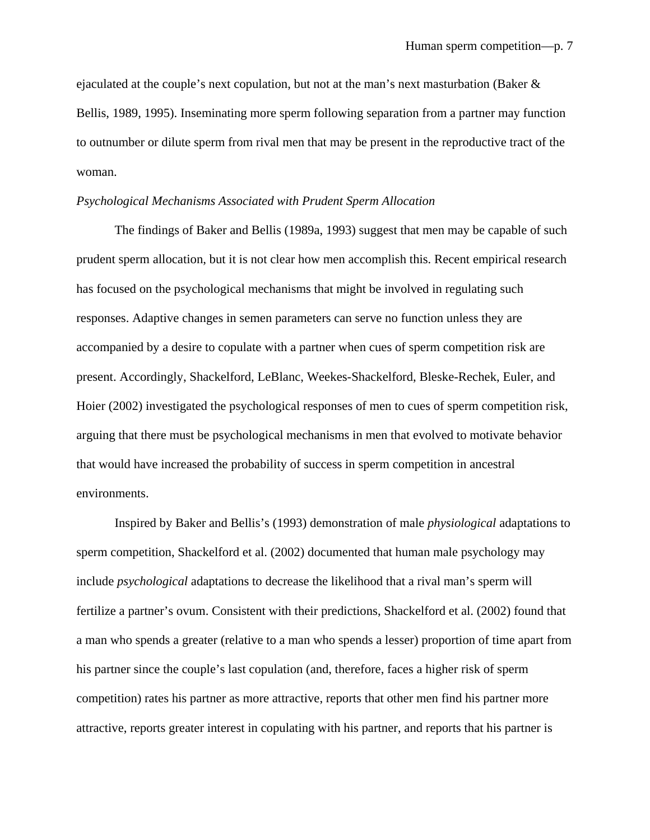ejaculated at the couple's next copulation, but not at the man's next masturbation (Baker & Bellis, 1989, 1995). Inseminating more sperm following separation from a partner may function to outnumber or dilute sperm from rival men that may be present in the reproductive tract of the woman.

#### *Psychological Mechanisms Associated with Prudent Sperm Allocation*

The findings of Baker and Bellis (1989a, 1993) suggest that men may be capable of such prudent sperm allocation, but it is not clear how men accomplish this. Recent empirical research has focused on the psychological mechanisms that might be involved in regulating such responses. Adaptive changes in semen parameters can serve no function unless they are accompanied by a desire to copulate with a partner when cues of sperm competition risk are present. Accordingly, Shackelford, LeBlanc, Weekes-Shackelford, Bleske-Rechek, Euler, and Hoier (2002) investigated the psychological responses of men to cues of sperm competition risk, arguing that there must be psychological mechanisms in men that evolved to motivate behavior that would have increased the probability of success in sperm competition in ancestral environments.

Inspired by Baker and Bellis's (1993) demonstration of male *physiological* adaptations to sperm competition, Shackelford et al. (2002) documented that human male psychology may include *psychological* adaptations to decrease the likelihood that a rival man's sperm will fertilize a partner's ovum. Consistent with their predictions, Shackelford et al. (2002) found that a man who spends a greater (relative to a man who spends a lesser) proportion of time apart from his partner since the couple's last copulation (and, therefore, faces a higher risk of sperm competition) rates his partner as more attractive, reports that other men find his partner more attractive, reports greater interest in copulating with his partner, and reports that his partner is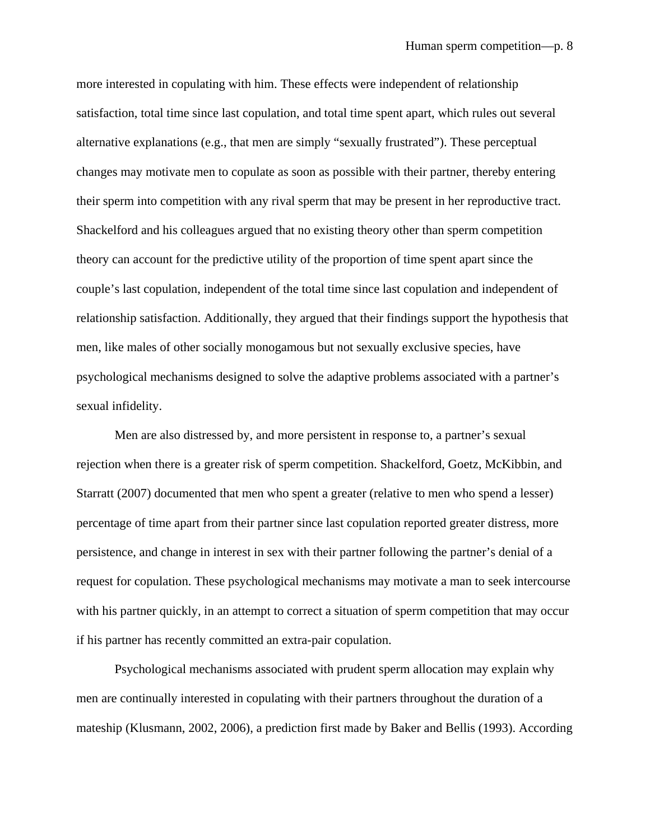more interested in copulating with him. These effects were independent of relationship satisfaction, total time since last copulation, and total time spent apart, which rules out several alternative explanations (e.g., that men are simply "sexually frustrated"). These perceptual changes may motivate men to copulate as soon as possible with their partner, thereby entering their sperm into competition with any rival sperm that may be present in her reproductive tract. Shackelford and his colleagues argued that no existing theory other than sperm competition theory can account for the predictive utility of the proportion of time spent apart since the couple's last copulation, independent of the total time since last copulation and independent of relationship satisfaction. Additionally, they argued that their findings support the hypothesis that men, like males of other socially monogamous but not sexually exclusive species, have psychological mechanisms designed to solve the adaptive problems associated with a partner's sexual infidelity.

Men are also distressed by, and more persistent in response to, a partner's sexual rejection when there is a greater risk of sperm competition. Shackelford, Goetz, McKibbin, and Starratt (2007) documented that men who spent a greater (relative to men who spend a lesser) percentage of time apart from their partner since last copulation reported greater distress, more persistence, and change in interest in sex with their partner following the partner's denial of a request for copulation. These psychological mechanisms may motivate a man to seek intercourse with his partner quickly, in an attempt to correct a situation of sperm competition that may occur if his partner has recently committed an extra-pair copulation.

Psychological mechanisms associated with prudent sperm allocation may explain why men are continually interested in copulating with their partners throughout the duration of a mateship (Klusmann, 2002, 2006), a prediction first made by Baker and Bellis (1993). According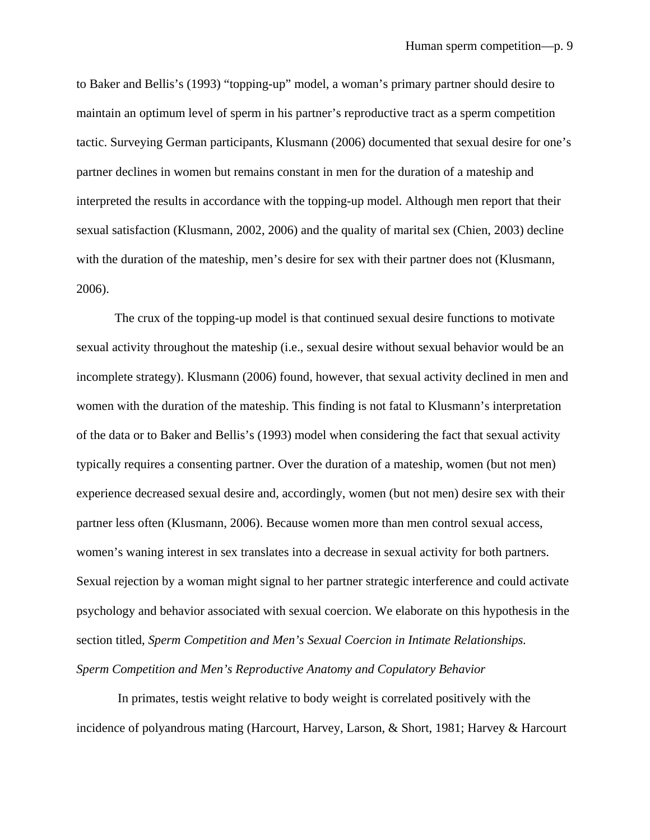to Baker and Bellis's (1993) "topping-up" model, a woman's primary partner should desire to maintain an optimum level of sperm in his partner's reproductive tract as a sperm competition tactic. Surveying German participants, Klusmann (2006) documented that sexual desire for one's partner declines in women but remains constant in men for the duration of a mateship and interpreted the results in accordance with the topping-up model. Although men report that their sexual satisfaction (Klusmann, 2002, 2006) and the quality of marital sex (Chien, 2003) decline with the duration of the mateship, men's desire for sex with their partner does not (Klusmann, 2006).

The crux of the topping-up model is that continued sexual desire functions to motivate sexual activity throughout the mateship (i.e., sexual desire without sexual behavior would be an incomplete strategy). Klusmann (2006) found, however, that sexual activity declined in men and women with the duration of the mateship. This finding is not fatal to Klusmann's interpretation of the data or to Baker and Bellis's (1993) model when considering the fact that sexual activity typically requires a consenting partner. Over the duration of a mateship, women (but not men) experience decreased sexual desire and, accordingly, women (but not men) desire sex with their partner less often (Klusmann, 2006). Because women more than men control sexual access, women's waning interest in sex translates into a decrease in sexual activity for both partners. Sexual rejection by a woman might signal to her partner strategic interference and could activate psychology and behavior associated with sexual coercion. We elaborate on this hypothesis in the section titled, *Sperm Competition and Men's Sexual Coercion in Intimate Relationships. Sperm Competition and Men's Reproductive Anatomy and Copulatory Behavior* 

In primates, testis weight relative to body weight is correlated positively with the incidence of polyandrous mating (Harcourt, Harvey, Larson, & Short, 1981; Harvey & Harcourt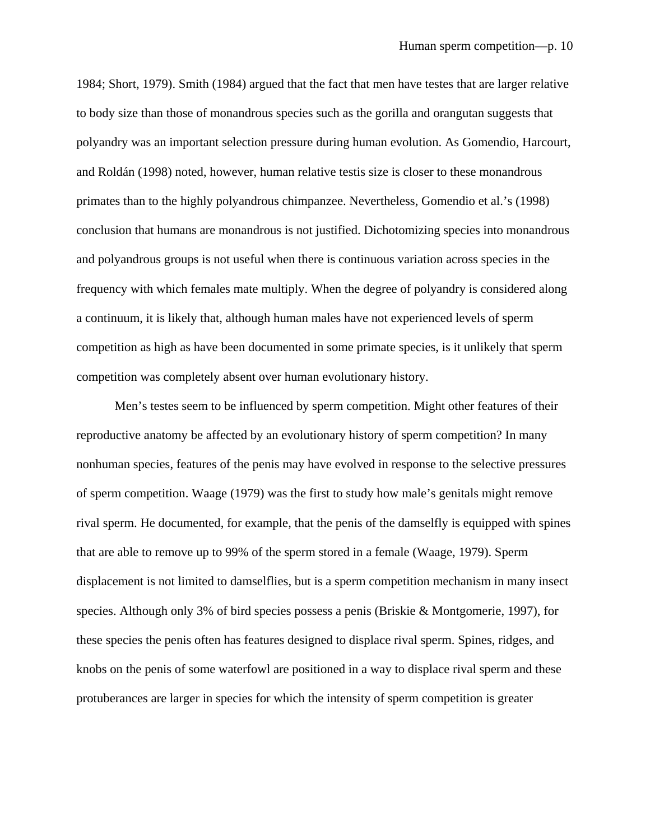1984; Short, 1979). Smith (1984) argued that the fact that men have testes that are larger relative to body size than those of monandrous species such as the gorilla and orangutan suggests that polyandry was an important selection pressure during human evolution. As Gomendio, Harcourt, and Roldán (1998) noted, however, human relative testis size is closer to these monandrous primates than to the highly polyandrous chimpanzee. Nevertheless, Gomendio et al.'s (1998) conclusion that humans are monandrous is not justified. Dichotomizing species into monandrous and polyandrous groups is not useful when there is continuous variation across species in the frequency with which females mate multiply. When the degree of polyandry is considered along a continuum, it is likely that, although human males have not experienced levels of sperm competition as high as have been documented in some primate species, is it unlikely that sperm competition was completely absent over human evolutionary history.

Men's testes seem to be influenced by sperm competition. Might other features of their reproductive anatomy be affected by an evolutionary history of sperm competition? In many nonhuman species, features of the penis may have evolved in response to the selective pressures of sperm competition. Waage (1979) was the first to study how male's genitals might remove rival sperm. He documented, for example, that the penis of the damselfly is equipped with spines that are able to remove up to 99% of the sperm stored in a female (Waage, 1979). Sperm displacement is not limited to damselflies, but is a sperm competition mechanism in many insect species. Although only 3% of bird species possess a penis (Briskie & Montgomerie, 1997), for these species the penis often has features designed to displace rival sperm. Spines, ridges, and knobs on the penis of some waterfowl are positioned in a way to displace rival sperm and these protuberances are larger in species for which the intensity of sperm competition is greater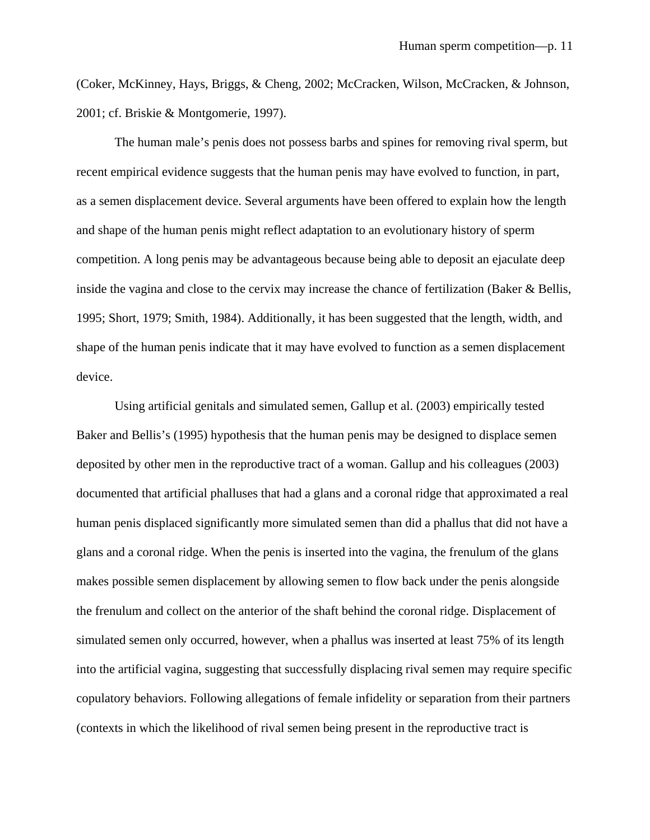(Coker, McKinney, Hays, Briggs, & Cheng, 2002; McCracken, Wilson, McCracken, & Johnson, 2001; cf. Briskie & Montgomerie, 1997).

The human male's penis does not possess barbs and spines for removing rival sperm, but recent empirical evidence suggests that the human penis may have evolved to function, in part, as a semen displacement device. Several arguments have been offered to explain how the length and shape of the human penis might reflect adaptation to an evolutionary history of sperm competition. A long penis may be advantageous because being able to deposit an ejaculate deep inside the vagina and close to the cervix may increase the chance of fertilization (Baker & Bellis, 1995; Short, 1979; Smith, 1984). Additionally, it has been suggested that the length, width, and shape of the human penis indicate that it may have evolved to function as a semen displacement device.

Using artificial genitals and simulated semen, Gallup et al. (2003) empirically tested Baker and Bellis's (1995) hypothesis that the human penis may be designed to displace semen deposited by other men in the reproductive tract of a woman. Gallup and his colleagues (2003) documented that artificial phalluses that had a glans and a coronal ridge that approximated a real human penis displaced significantly more simulated semen than did a phallus that did not have a glans and a coronal ridge. When the penis is inserted into the vagina, the frenulum of the glans makes possible semen displacement by allowing semen to flow back under the penis alongside the frenulum and collect on the anterior of the shaft behind the coronal ridge. Displacement of simulated semen only occurred, however, when a phallus was inserted at least 75% of its length into the artificial vagina, suggesting that successfully displacing rival semen may require specific copulatory behaviors. Following allegations of female infidelity or separation from their partners (contexts in which the likelihood of rival semen being present in the reproductive tract is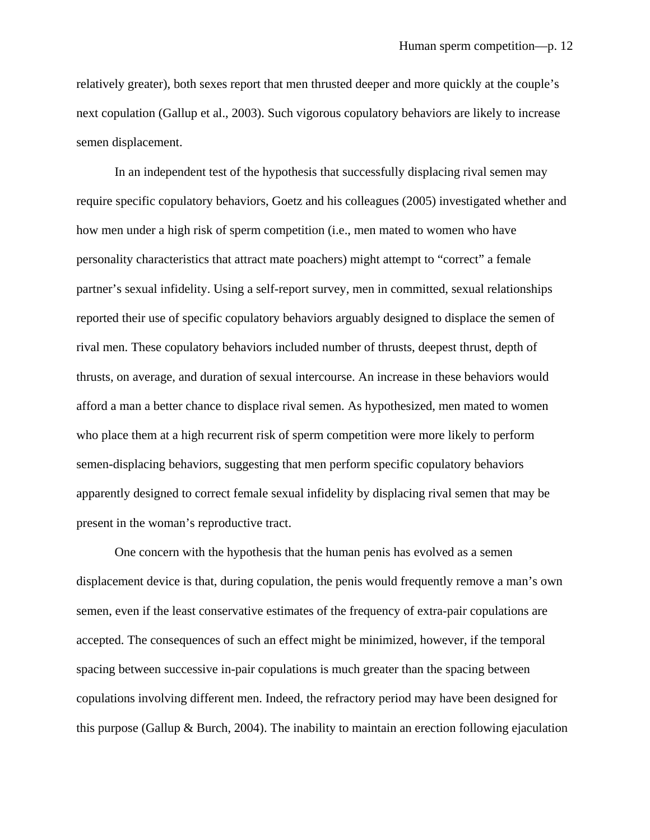relatively greater), both sexes report that men thrusted deeper and more quickly at the couple's next copulation (Gallup et al., 2003). Such vigorous copulatory behaviors are likely to increase semen displacement.

In an independent test of the hypothesis that successfully displacing rival semen may require specific copulatory behaviors, Goetz and his colleagues (2005) investigated whether and how men under a high risk of sperm competition (i.e., men mated to women who have personality characteristics that attract mate poachers) might attempt to "correct" a female partner's sexual infidelity. Using a self-report survey, men in committed, sexual relationships reported their use of specific copulatory behaviors arguably designed to displace the semen of rival men. These copulatory behaviors included number of thrusts, deepest thrust, depth of thrusts, on average, and duration of sexual intercourse. An increase in these behaviors would afford a man a better chance to displace rival semen. As hypothesized, men mated to women who place them at a high recurrent risk of sperm competition were more likely to perform semen-displacing behaviors, suggesting that men perform specific copulatory behaviors apparently designed to correct female sexual infidelity by displacing rival semen that may be present in the woman's reproductive tract.

One concern with the hypothesis that the human penis has evolved as a semen displacement device is that, during copulation, the penis would frequently remove a man's own semen, even if the least conservative estimates of the frequency of extra-pair copulations are accepted. The consequences of such an effect might be minimized, however, if the temporal spacing between successive in-pair copulations is much greater than the spacing between copulations involving different men. Indeed, the refractory period may have been designed for this purpose (Gallup  $\&$  Burch, 2004). The inability to maintain an erection following ejaculation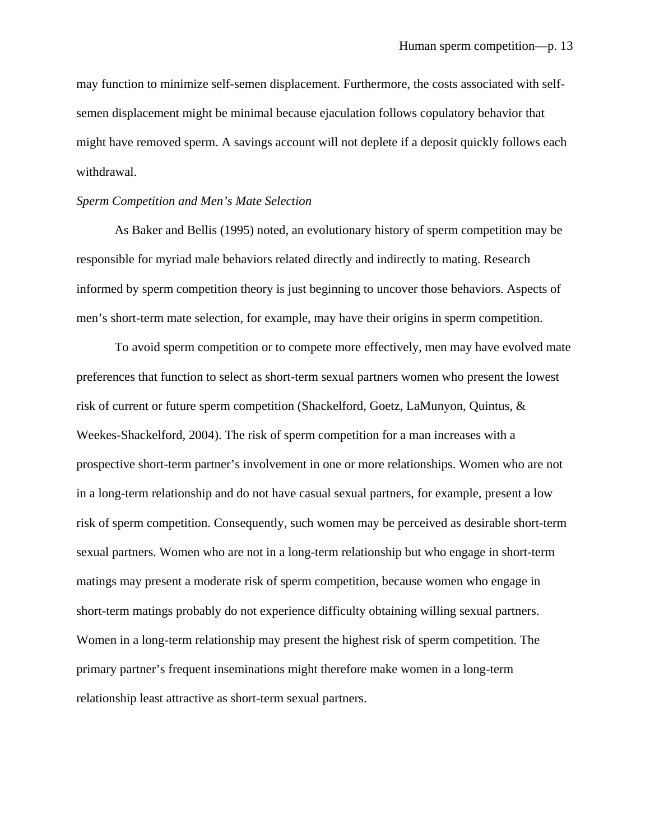may function to minimize self-semen displacement. Furthermore, the costs associated with selfsemen displacement might be minimal because ejaculation follows copulatory behavior that might have removed sperm. A savings account will not deplete if a deposit quickly follows each withdrawal.

#### *Sperm Competition and Men's Mate Selection*

As Baker and Bellis (1995) noted, an evolutionary history of sperm competition may be responsible for myriad male behaviors related directly and indirectly to mating. Research informed by sperm competition theory is just beginning to uncover those behaviors. Aspects of men's short-term mate selection, for example, may have their origins in sperm competition.

To avoid sperm competition or to compete more effectively, men may have evolved mate preferences that function to select as short-term sexual partners women who present the lowest risk of current or future sperm competition (Shackelford, Goetz, LaMunyon, Quintus, & Weekes-Shackelford, 2004). The risk of sperm competition for a man increases with a prospective short-term partner's involvement in one or more relationships. Women who are not in a long-term relationship and do not have casual sexual partners, for example, present a low risk of sperm competition. Consequently, such women may be perceived as desirable short-term sexual partners. Women who are not in a long-term relationship but who engage in short-term matings may present a moderate risk of sperm competition, because women who engage in short-term matings probably do not experience difficulty obtaining willing sexual partners. Women in a long-term relationship may present the highest risk of sperm competition. The primary partner's frequent inseminations might therefore make women in a long-term relationship least attractive as short-term sexual partners.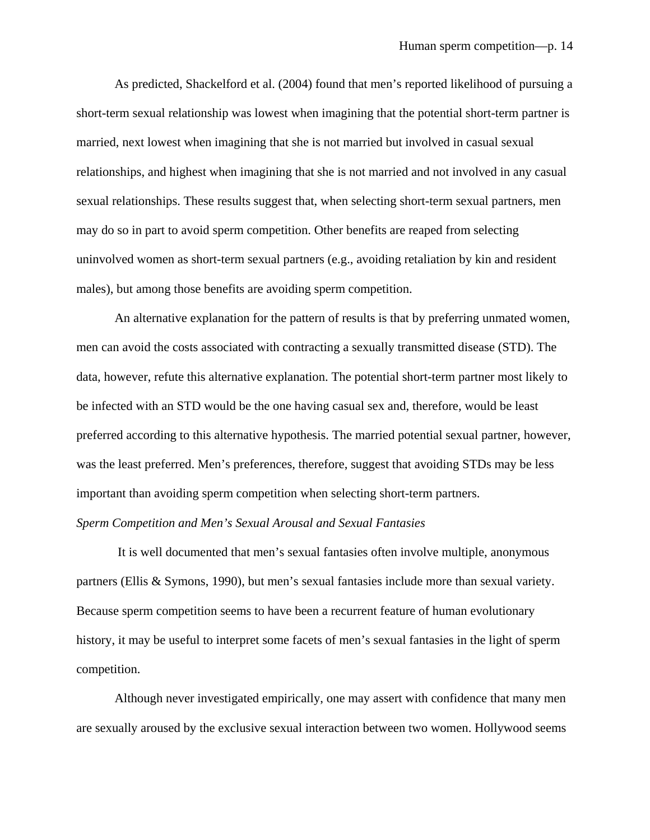As predicted, Shackelford et al. (2004) found that men's reported likelihood of pursuing a short-term sexual relationship was lowest when imagining that the potential short-term partner is married, next lowest when imagining that she is not married but involved in casual sexual relationships, and highest when imagining that she is not married and not involved in any casual sexual relationships. These results suggest that, when selecting short-term sexual partners, men may do so in part to avoid sperm competition. Other benefits are reaped from selecting uninvolved women as short-term sexual partners (e.g., avoiding retaliation by kin and resident males), but among those benefits are avoiding sperm competition.

An alternative explanation for the pattern of results is that by preferring unmated women, men can avoid the costs associated with contracting a sexually transmitted disease (STD). The data, however, refute this alternative explanation. The potential short-term partner most likely to be infected with an STD would be the one having casual sex and, therefore, would be least preferred according to this alternative hypothesis. The married potential sexual partner, however, was the least preferred. Men's preferences, therefore, suggest that avoiding STDs may be less important than avoiding sperm competition when selecting short-term partners.

#### *Sperm Competition and Men's Sexual Arousal and Sexual Fantasies*

It is well documented that men's sexual fantasies often involve multiple, anonymous partners (Ellis & Symons, 1990), but men's sexual fantasies include more than sexual variety. Because sperm competition seems to have been a recurrent feature of human evolutionary history, it may be useful to interpret some facets of men's sexual fantasies in the light of sperm competition.

 Although never investigated empirically, one may assert with confidence that many men are sexually aroused by the exclusive sexual interaction between two women. Hollywood seems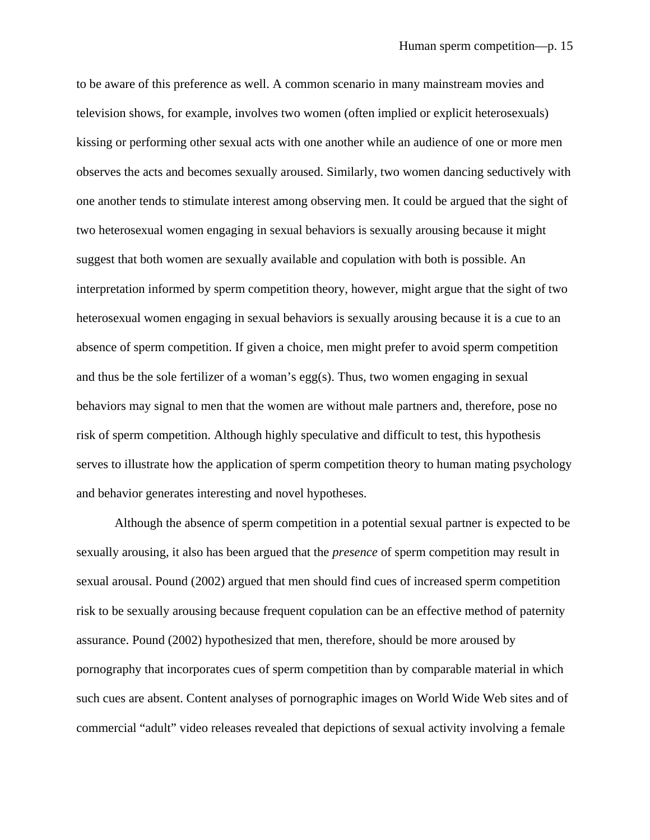to be aware of this preference as well. A common scenario in many mainstream movies and television shows, for example, involves two women (often implied or explicit heterosexuals) kissing or performing other sexual acts with one another while an audience of one or more men observes the acts and becomes sexually aroused. Similarly, two women dancing seductively with one another tends to stimulate interest among observing men. It could be argued that the sight of two heterosexual women engaging in sexual behaviors is sexually arousing because it might suggest that both women are sexually available and copulation with both is possible. An interpretation informed by sperm competition theory, however, might argue that the sight of two heterosexual women engaging in sexual behaviors is sexually arousing because it is a cue to an absence of sperm competition. If given a choice, men might prefer to avoid sperm competition and thus be the sole fertilizer of a woman's egg(s). Thus, two women engaging in sexual behaviors may signal to men that the women are without male partners and, therefore, pose no risk of sperm competition. Although highly speculative and difficult to test, this hypothesis serves to illustrate how the application of sperm competition theory to human mating psychology and behavior generates interesting and novel hypotheses.

Although the absence of sperm competition in a potential sexual partner is expected to be sexually arousing, it also has been argued that the *presence* of sperm competition may result in sexual arousal. Pound (2002) argued that men should find cues of increased sperm competition risk to be sexually arousing because frequent copulation can be an effective method of paternity assurance. Pound (2002) hypothesized that men, therefore, should be more aroused by pornography that incorporates cues of sperm competition than by comparable material in which such cues are absent. Content analyses of pornographic images on World Wide Web sites and of commercial "adult" video releases revealed that depictions of sexual activity involving a female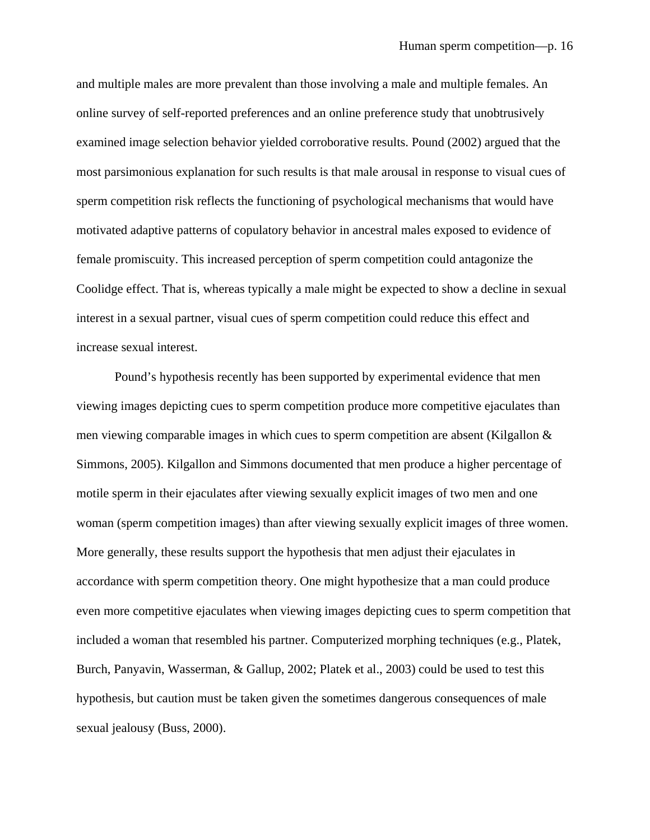and multiple males are more prevalent than those involving a male and multiple females. An online survey of self-reported preferences and an online preference study that unobtrusively examined image selection behavior yielded corroborative results. Pound (2002) argued that the most parsimonious explanation for such results is that male arousal in response to visual cues of sperm competition risk reflects the functioning of psychological mechanisms that would have motivated adaptive patterns of copulatory behavior in ancestral males exposed to evidence of female promiscuity. This increased perception of sperm competition could antagonize the Coolidge effect. That is, whereas typically a male might be expected to show a decline in sexual interest in a sexual partner, visual cues of sperm competition could reduce this effect and increase sexual interest.

Pound's hypothesis recently has been supported by experimental evidence that men viewing images depicting cues to sperm competition produce more competitive ejaculates than men viewing comparable images in which cues to sperm competition are absent (Kilgallon & Simmons, 2005). Kilgallon and Simmons documented that men produce a higher percentage of motile sperm in their ejaculates after viewing sexually explicit images of two men and one woman (sperm competition images) than after viewing sexually explicit images of three women. More generally, these results support the hypothesis that men adjust their ejaculates in accordance with sperm competition theory. One might hypothesize that a man could produce even more competitive ejaculates when viewing images depicting cues to sperm competition that included a woman that resembled his partner. Computerized morphing techniques (e.g., Platek, Burch, Panyavin, Wasserman, & Gallup, 2002; Platek et al., 2003) could be used to test this hypothesis, but caution must be taken given the sometimes dangerous consequences of male sexual jealousy (Buss, 2000).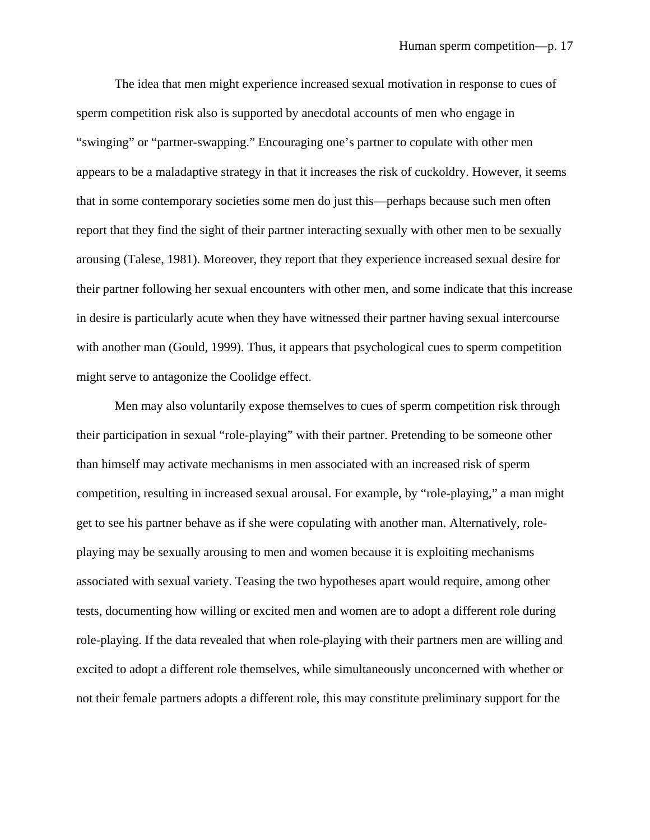The idea that men might experience increased sexual motivation in response to cues of sperm competition risk also is supported by anecdotal accounts of men who engage in "swinging" or "partner-swapping." Encouraging one's partner to copulate with other men appears to be a maladaptive strategy in that it increases the risk of cuckoldry. However, it seems that in some contemporary societies some men do just this—perhaps because such men often report that they find the sight of their partner interacting sexually with other men to be sexually arousing (Talese, 1981). Moreover, they report that they experience increased sexual desire for their partner following her sexual encounters with other men, and some indicate that this increase in desire is particularly acute when they have witnessed their partner having sexual intercourse with another man (Gould, 1999). Thus, it appears that psychological cues to sperm competition might serve to antagonize the Coolidge effect.

Men may also voluntarily expose themselves to cues of sperm competition risk through their participation in sexual "role-playing" with their partner. Pretending to be someone other than himself may activate mechanisms in men associated with an increased risk of sperm competition, resulting in increased sexual arousal. For example, by "role-playing," a man might get to see his partner behave as if she were copulating with another man. Alternatively, roleplaying may be sexually arousing to men and women because it is exploiting mechanisms associated with sexual variety. Teasing the two hypotheses apart would require, among other tests, documenting how willing or excited men and women are to adopt a different role during role-playing. If the data revealed that when role-playing with their partners men are willing and excited to adopt a different role themselves, while simultaneously unconcerned with whether or not their female partners adopts a different role, this may constitute preliminary support for the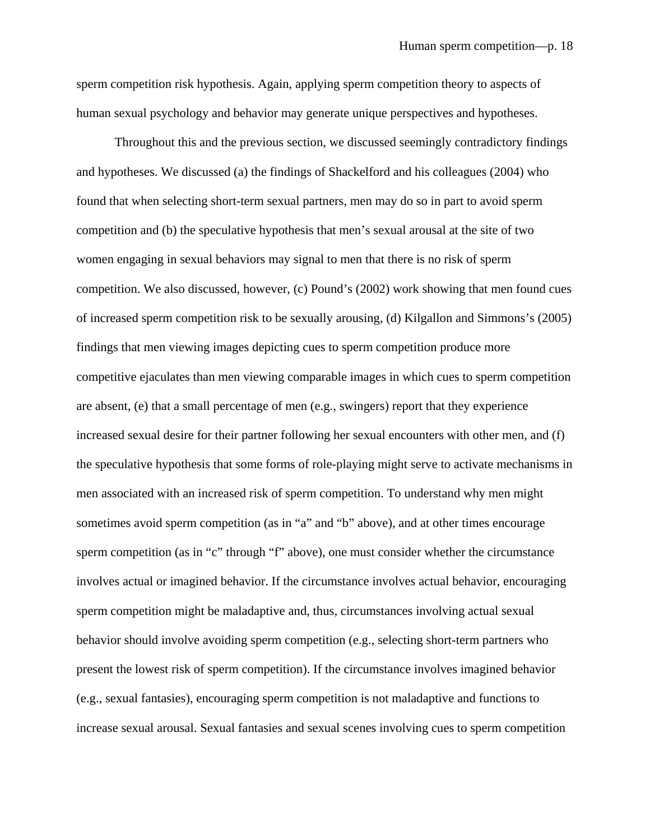sperm competition risk hypothesis. Again, applying sperm competition theory to aspects of human sexual psychology and behavior may generate unique perspectives and hypotheses.

Throughout this and the previous section, we discussed seemingly contradictory findings and hypotheses. We discussed (a) the findings of Shackelford and his colleagues (2004) who found that when selecting short-term sexual partners, men may do so in part to avoid sperm competition and (b) the speculative hypothesis that men's sexual arousal at the site of two women engaging in sexual behaviors may signal to men that there is no risk of sperm competition. We also discussed, however, (c) Pound's (2002) work showing that men found cues of increased sperm competition risk to be sexually arousing, (d) Kilgallon and Simmons's (2005) findings that men viewing images depicting cues to sperm competition produce more competitive ejaculates than men viewing comparable images in which cues to sperm competition are absent, (e) that a small percentage of men (e.g., swingers) report that they experience increased sexual desire for their partner following her sexual encounters with other men, and (f) the speculative hypothesis that some forms of role-playing might serve to activate mechanisms in men associated with an increased risk of sperm competition. To understand why men might sometimes avoid sperm competition (as in "a" and "b" above), and at other times encourage sperm competition (as in "c" through "f" above), one must consider whether the circumstance involves actual or imagined behavior. If the circumstance involves actual behavior, encouraging sperm competition might be maladaptive and, thus, circumstances involving actual sexual behavior should involve avoiding sperm competition (e.g., selecting short-term partners who present the lowest risk of sperm competition). If the circumstance involves imagined behavior (e.g., sexual fantasies), encouraging sperm competition is not maladaptive and functions to increase sexual arousal. Sexual fantasies and sexual scenes involving cues to sperm competition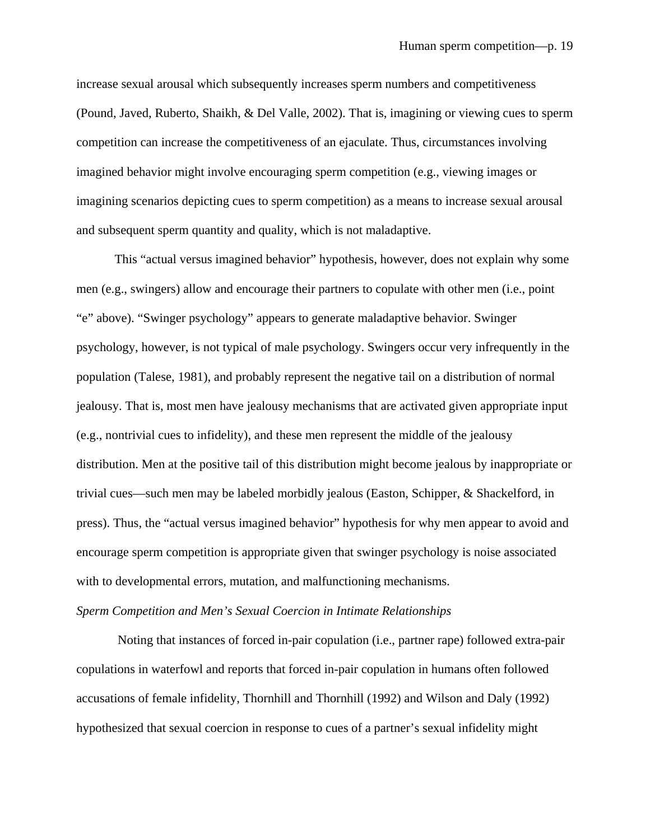increase sexual arousal which subsequently increases sperm numbers and competitiveness (Pound, Javed, Ruberto, Shaikh, & Del Valle, 2002). That is, imagining or viewing cues to sperm competition can increase the competitiveness of an ejaculate. Thus, circumstances involving imagined behavior might involve encouraging sperm competition (e.g., viewing images or imagining scenarios depicting cues to sperm competition) as a means to increase sexual arousal and subsequent sperm quantity and quality, which is not maladaptive.

This "actual versus imagined behavior" hypothesis, however, does not explain why some men (e.g., swingers) allow and encourage their partners to copulate with other men (i.e., point "e" above). "Swinger psychology" appears to generate maladaptive behavior. Swinger psychology, however, is not typical of male psychology. Swingers occur very infrequently in the population (Talese, 1981), and probably represent the negative tail on a distribution of normal jealousy. That is, most men have jealousy mechanisms that are activated given appropriate input (e.g., nontrivial cues to infidelity), and these men represent the middle of the jealousy distribution. Men at the positive tail of this distribution might become jealous by inappropriate or trivial cues—such men may be labeled morbidly jealous (Easton, Schipper, & Shackelford, in press). Thus, the "actual versus imagined behavior" hypothesis for why men appear to avoid and encourage sperm competition is appropriate given that swinger psychology is noise associated with to developmental errors, mutation, and malfunctioning mechanisms.

# *Sperm Competition and Men's Sexual Coercion in Intimate Relationships*

Noting that instances of forced in-pair copulation (i.e., partner rape) followed extra-pair copulations in waterfowl and reports that forced in-pair copulation in humans often followed accusations of female infidelity, Thornhill and Thornhill (1992) and Wilson and Daly (1992) hypothesized that sexual coercion in response to cues of a partner's sexual infidelity might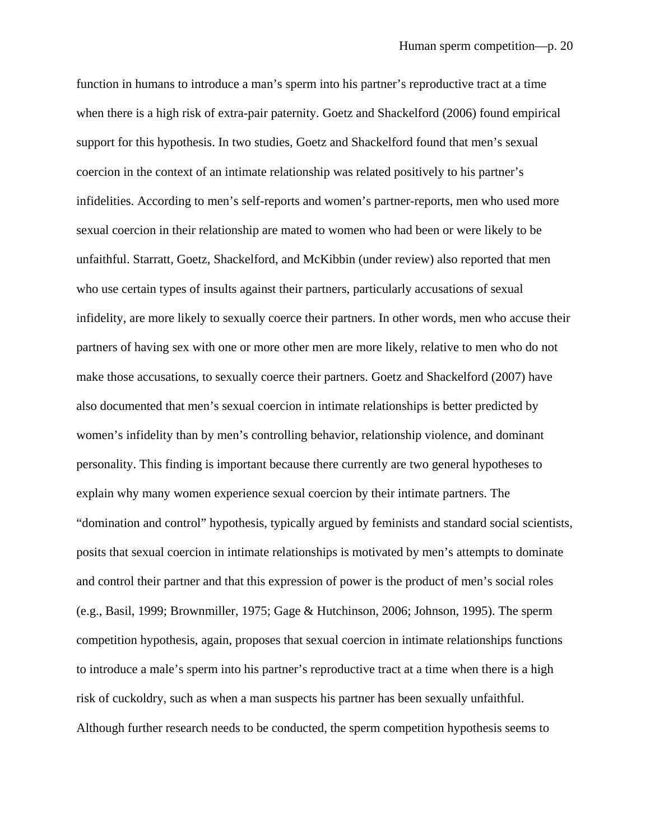function in humans to introduce a man's sperm into his partner's reproductive tract at a time when there is a high risk of extra-pair paternity. Goetz and Shackelford (2006) found empirical support for this hypothesis. In two studies, Goetz and Shackelford found that men's sexual coercion in the context of an intimate relationship was related positively to his partner's infidelities. According to men's self-reports and women's partner-reports, men who used more sexual coercion in their relationship are mated to women who had been or were likely to be unfaithful. Starratt, Goetz, Shackelford, and McKibbin (under review) also reported that men who use certain types of insults against their partners, particularly accusations of sexual infidelity, are more likely to sexually coerce their partners. In other words, men who accuse their partners of having sex with one or more other men are more likely, relative to men who do not make those accusations, to sexually coerce their partners. Goetz and Shackelford (2007) have also documented that men's sexual coercion in intimate relationships is better predicted by women's infidelity than by men's controlling behavior, relationship violence, and dominant personality. This finding is important because there currently are two general hypotheses to explain why many women experience sexual coercion by their intimate partners. The "domination and control" hypothesis, typically argued by feminists and standard social scientists, posits that sexual coercion in intimate relationships is motivated by men's attempts to dominate and control their partner and that this expression of power is the product of men's social roles (e.g., Basil, 1999; Brownmiller, 1975; Gage & Hutchinson, 2006; Johnson, 1995). The sperm competition hypothesis, again, proposes that sexual coercion in intimate relationships functions to introduce a male's sperm into his partner's reproductive tract at a time when there is a high risk of cuckoldry, such as when a man suspects his partner has been sexually unfaithful. Although further research needs to be conducted, the sperm competition hypothesis seems to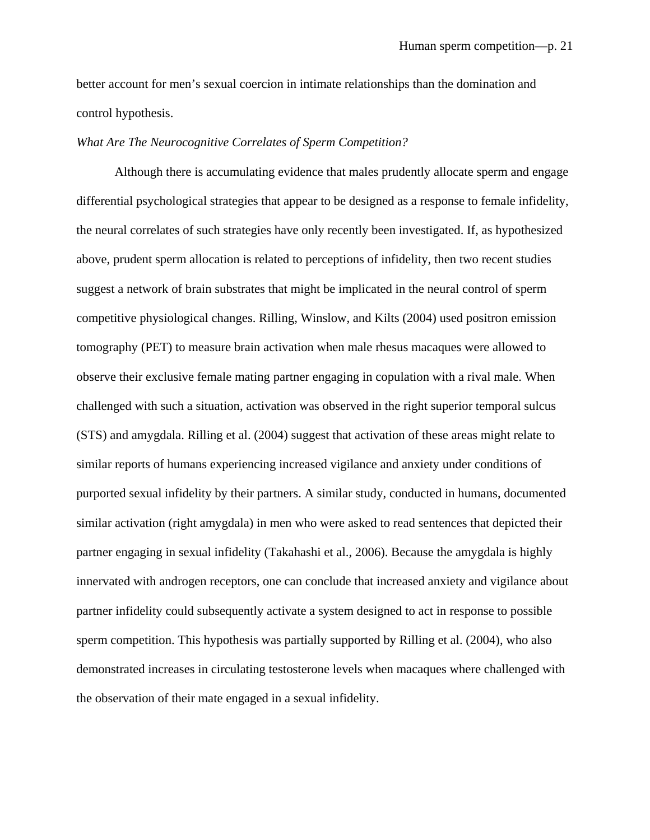better account for men's sexual coercion in intimate relationships than the domination and control hypothesis.

#### *What Are The Neurocognitive Correlates of Sperm Competition?*

Although there is accumulating evidence that males prudently allocate sperm and engage differential psychological strategies that appear to be designed as a response to female infidelity, the neural correlates of such strategies have only recently been investigated. If, as hypothesized above, prudent sperm allocation is related to perceptions of infidelity, then two recent studies suggest a network of brain substrates that might be implicated in the neural control of sperm competitive physiological changes. Rilling, Winslow, and Kilts (2004) used positron emission tomography (PET) to measure brain activation when male rhesus macaques were allowed to observe their exclusive female mating partner engaging in copulation with a rival male. When challenged with such a situation, activation was observed in the right superior temporal sulcus (STS) and amygdala. Rilling et al. (2004) suggest that activation of these areas might relate to similar reports of humans experiencing increased vigilance and anxiety under conditions of purported sexual infidelity by their partners. A similar study, conducted in humans, documented similar activation (right amygdala) in men who were asked to read sentences that depicted their partner engaging in sexual infidelity (Takahashi et al., 2006). Because the amygdala is highly innervated with androgen receptors, one can conclude that increased anxiety and vigilance about partner infidelity could subsequently activate a system designed to act in response to possible sperm competition. This hypothesis was partially supported by Rilling et al. (2004), who also demonstrated increases in circulating testosterone levels when macaques where challenged with the observation of their mate engaged in a sexual infidelity.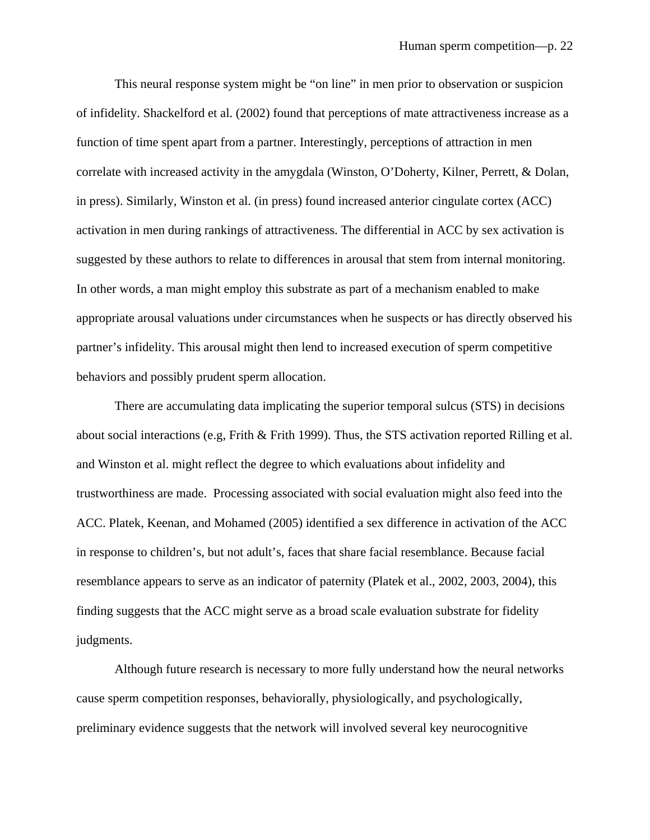This neural response system might be "on line" in men prior to observation or suspicion of infidelity. Shackelford et al. (2002) found that perceptions of mate attractiveness increase as a function of time spent apart from a partner. Interestingly, perceptions of attraction in men correlate with increased activity in the amygdala (Winston, O'Doherty, Kilner, Perrett, & Dolan, in press). Similarly, Winston et al. (in press) found increased anterior cingulate cortex (ACC) activation in men during rankings of attractiveness. The differential in ACC by sex activation is suggested by these authors to relate to differences in arousal that stem from internal monitoring. In other words, a man might employ this substrate as part of a mechanism enabled to make appropriate arousal valuations under circumstances when he suspects or has directly observed his partner's infidelity. This arousal might then lend to increased execution of sperm competitive behaviors and possibly prudent sperm allocation.

 There are accumulating data implicating the superior temporal sulcus (STS) in decisions about social interactions (e.g, Frith & Frith 1999). Thus, the STS activation reported Rilling et al. and Winston et al. might reflect the degree to which evaluations about infidelity and trustworthiness are made. Processing associated with social evaluation might also feed into the ACC. Platek, Keenan, and Mohamed (2005) identified a sex difference in activation of the ACC in response to children's, but not adult's, faces that share facial resemblance. Because facial resemblance appears to serve as an indicator of paternity (Platek et al., 2002, 2003, 2004), this finding suggests that the ACC might serve as a broad scale evaluation substrate for fidelity judgments.

 Although future research is necessary to more fully understand how the neural networks cause sperm competition responses, behaviorally, physiologically, and psychologically, preliminary evidence suggests that the network will involved several key neurocognitive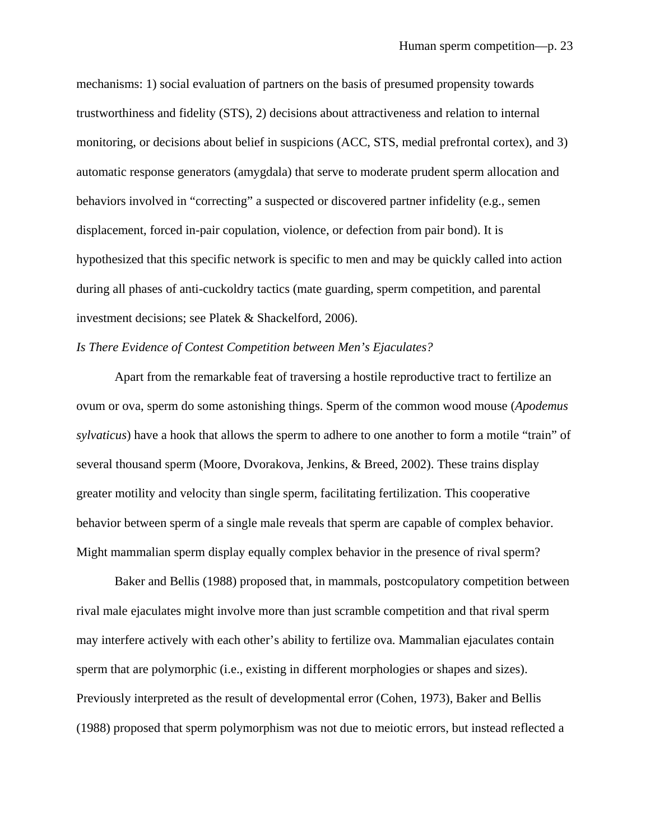mechanisms: 1) social evaluation of partners on the basis of presumed propensity towards trustworthiness and fidelity (STS), 2) decisions about attractiveness and relation to internal monitoring, or decisions about belief in suspicions (ACC, STS, medial prefrontal cortex), and 3) automatic response generators (amygdala) that serve to moderate prudent sperm allocation and behaviors involved in "correcting" a suspected or discovered partner infidelity (e.g., semen displacement, forced in-pair copulation, violence, or defection from pair bond). It is hypothesized that this specific network is specific to men and may be quickly called into action during all phases of anti-cuckoldry tactics (mate guarding, sperm competition, and parental investment decisions; see Platek & Shackelford, 2006).

# *Is There Evidence of Contest Competition between Men's Ejaculates?*

Apart from the remarkable feat of traversing a hostile reproductive tract to fertilize an ovum or ova, sperm do some astonishing things. Sperm of the common wood mouse (*Apodemus sylvaticus*) have a hook that allows the sperm to adhere to one another to form a motile "train" of several thousand sperm (Moore, Dvorakova, Jenkins, & Breed, 2002). These trains display greater motility and velocity than single sperm, facilitating fertilization. This cooperative behavior between sperm of a single male reveals that sperm are capable of complex behavior. Might mammalian sperm display equally complex behavior in the presence of rival sperm?

Baker and Bellis (1988) proposed that, in mammals, postcopulatory competition between rival male ejaculates might involve more than just scramble competition and that rival sperm may interfere actively with each other's ability to fertilize ova. Mammalian ejaculates contain sperm that are polymorphic (i.e., existing in different morphologies or shapes and sizes). Previously interpreted as the result of developmental error (Cohen, 1973), Baker and Bellis (1988) proposed that sperm polymorphism was not due to meiotic errors, but instead reflected a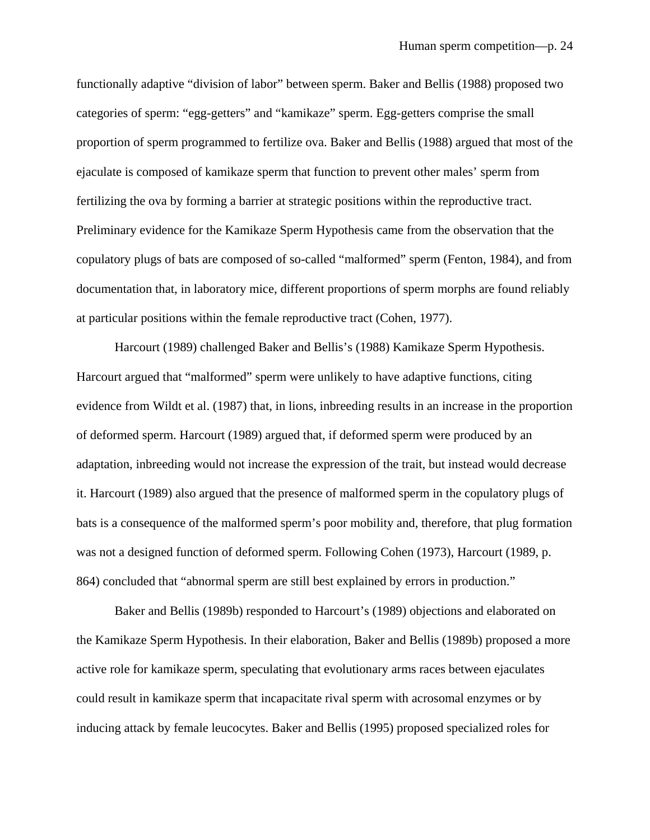functionally adaptive "division of labor" between sperm. Baker and Bellis (1988) proposed two categories of sperm: "egg-getters" and "kamikaze" sperm. Egg-getters comprise the small proportion of sperm programmed to fertilize ova. Baker and Bellis (1988) argued that most of the ejaculate is composed of kamikaze sperm that function to prevent other males' sperm from fertilizing the ova by forming a barrier at strategic positions within the reproductive tract. Preliminary evidence for the Kamikaze Sperm Hypothesis came from the observation that the copulatory plugs of bats are composed of so-called "malformed" sperm (Fenton, 1984), and from documentation that, in laboratory mice, different proportions of sperm morphs are found reliably at particular positions within the female reproductive tract (Cohen, 1977).

Harcourt (1989) challenged Baker and Bellis's (1988) Kamikaze Sperm Hypothesis. Harcourt argued that "malformed" sperm were unlikely to have adaptive functions, citing evidence from Wildt et al. (1987) that, in lions, inbreeding results in an increase in the proportion of deformed sperm. Harcourt (1989) argued that, if deformed sperm were produced by an adaptation, inbreeding would not increase the expression of the trait, but instead would decrease it. Harcourt (1989) also argued that the presence of malformed sperm in the copulatory plugs of bats is a consequence of the malformed sperm's poor mobility and, therefore, that plug formation was not a designed function of deformed sperm. Following Cohen (1973), Harcourt (1989, p. 864) concluded that "abnormal sperm are still best explained by errors in production."

Baker and Bellis (1989b) responded to Harcourt's (1989) objections and elaborated on the Kamikaze Sperm Hypothesis. In their elaboration, Baker and Bellis (1989b) proposed a more active role for kamikaze sperm, speculating that evolutionary arms races between ejaculates could result in kamikaze sperm that incapacitate rival sperm with acrosomal enzymes or by inducing attack by female leucocytes. Baker and Bellis (1995) proposed specialized roles for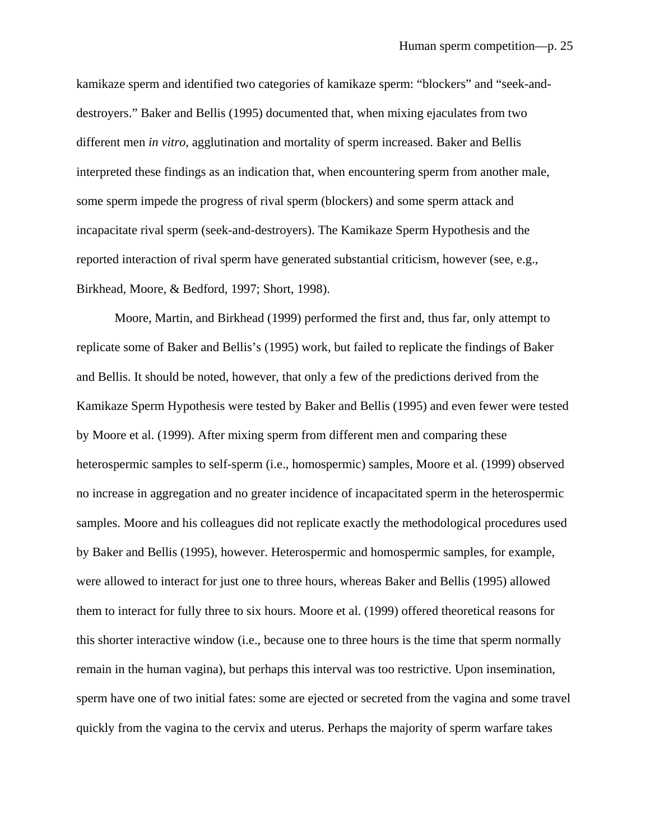kamikaze sperm and identified two categories of kamikaze sperm: "blockers" and "seek-anddestroyers." Baker and Bellis (1995) documented that, when mixing ejaculates from two different men *in vitro*, agglutination and mortality of sperm increased. Baker and Bellis interpreted these findings as an indication that, when encountering sperm from another male, some sperm impede the progress of rival sperm (blockers) and some sperm attack and incapacitate rival sperm (seek-and-destroyers). The Kamikaze Sperm Hypothesis and the reported interaction of rival sperm have generated substantial criticism, however (see, e.g., Birkhead, Moore, & Bedford, 1997; Short, 1998).

 Moore, Martin, and Birkhead (1999) performed the first and, thus far, only attempt to replicate some of Baker and Bellis's (1995) work, but failed to replicate the findings of Baker and Bellis. It should be noted, however, that only a few of the predictions derived from the Kamikaze Sperm Hypothesis were tested by Baker and Bellis (1995) and even fewer were tested by Moore et al. (1999). After mixing sperm from different men and comparing these heterospermic samples to self-sperm (i.e., homospermic) samples, Moore et al. (1999) observed no increase in aggregation and no greater incidence of incapacitated sperm in the heterospermic samples. Moore and his colleagues did not replicate exactly the methodological procedures used by Baker and Bellis (1995), however. Heterospermic and homospermic samples, for example, were allowed to interact for just one to three hours, whereas Baker and Bellis (1995) allowed them to interact for fully three to six hours. Moore et al. (1999) offered theoretical reasons for this shorter interactive window (i.e., because one to three hours is the time that sperm normally remain in the human vagina), but perhaps this interval was too restrictive. Upon insemination, sperm have one of two initial fates: some are ejected or secreted from the vagina and some travel quickly from the vagina to the cervix and uterus. Perhaps the majority of sperm warfare takes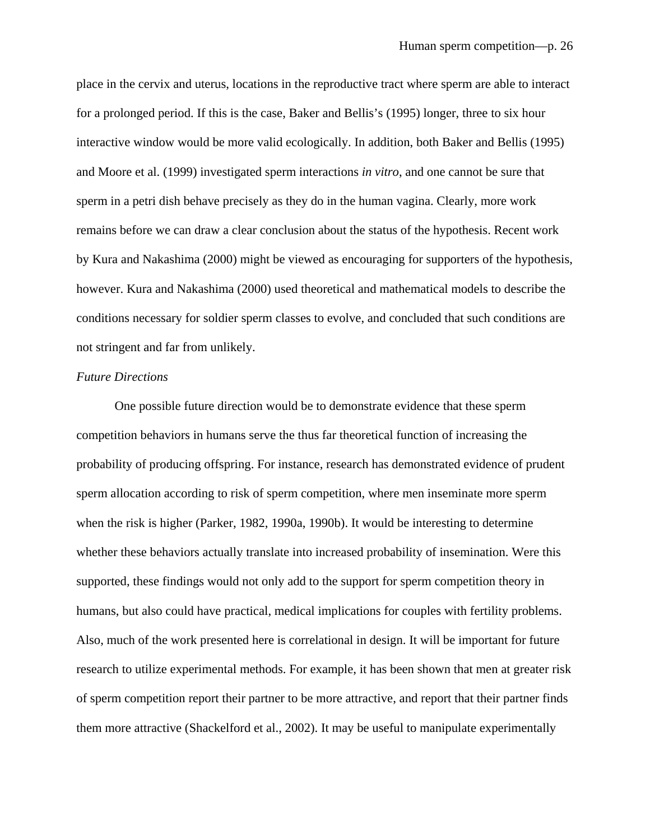place in the cervix and uterus, locations in the reproductive tract where sperm are able to interact for a prolonged period. If this is the case, Baker and Bellis's (1995) longer, three to six hour interactive window would be more valid ecologically. In addition, both Baker and Bellis (1995) and Moore et al. (1999) investigated sperm interactions *in vitro*, and one cannot be sure that sperm in a petri dish behave precisely as they do in the human vagina. Clearly, more work remains before we can draw a clear conclusion about the status of the hypothesis. Recent work by Kura and Nakashima (2000) might be viewed as encouraging for supporters of the hypothesis, however. Kura and Nakashima (2000) used theoretical and mathematical models to describe the conditions necessary for soldier sperm classes to evolve, and concluded that such conditions are not stringent and far from unlikely.

#### *Future Directions*

 One possible future direction would be to demonstrate evidence that these sperm competition behaviors in humans serve the thus far theoretical function of increasing the probability of producing offspring. For instance, research has demonstrated evidence of prudent sperm allocation according to risk of sperm competition, where men inseminate more sperm when the risk is higher (Parker, 1982, 1990a, 1990b). It would be interesting to determine whether these behaviors actually translate into increased probability of insemination. Were this supported, these findings would not only add to the support for sperm competition theory in humans, but also could have practical, medical implications for couples with fertility problems. Also, much of the work presented here is correlational in design. It will be important for future research to utilize experimental methods. For example, it has been shown that men at greater risk of sperm competition report their partner to be more attractive, and report that their partner finds them more attractive (Shackelford et al., 2002). It may be useful to manipulate experimentally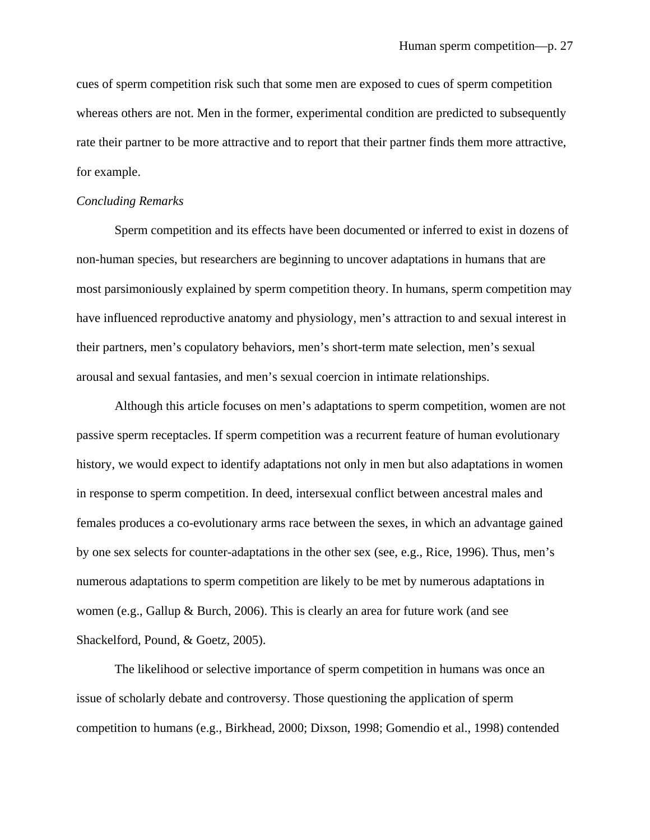cues of sperm competition risk such that some men are exposed to cues of sperm competition whereas others are not. Men in the former, experimental condition are predicted to subsequently rate their partner to be more attractive and to report that their partner finds them more attractive, for example.

#### *Concluding Remarks*

 Sperm competition and its effects have been documented or inferred to exist in dozens of non-human species, but researchers are beginning to uncover adaptations in humans that are most parsimoniously explained by sperm competition theory. In humans, sperm competition may have influenced reproductive anatomy and physiology, men's attraction to and sexual interest in their partners, men's copulatory behaviors, men's short-term mate selection, men's sexual arousal and sexual fantasies, and men's sexual coercion in intimate relationships.

Although this article focuses on men's adaptations to sperm competition, women are not passive sperm receptacles. If sperm competition was a recurrent feature of human evolutionary history, we would expect to identify adaptations not only in men but also adaptations in women in response to sperm competition. In deed, intersexual conflict between ancestral males and females produces a co-evolutionary arms race between the sexes, in which an advantage gained by one sex selects for counter-adaptations in the other sex (see, e.g., Rice, 1996). Thus, men's numerous adaptations to sperm competition are likely to be met by numerous adaptations in women (e.g., Gallup & Burch, 2006). This is clearly an area for future work (and see Shackelford, Pound, & Goetz, 2005).

The likelihood or selective importance of sperm competition in humans was once an issue of scholarly debate and controversy. Those questioning the application of sperm competition to humans (e.g., Birkhead, 2000; Dixson, 1998; Gomendio et al., 1998) contended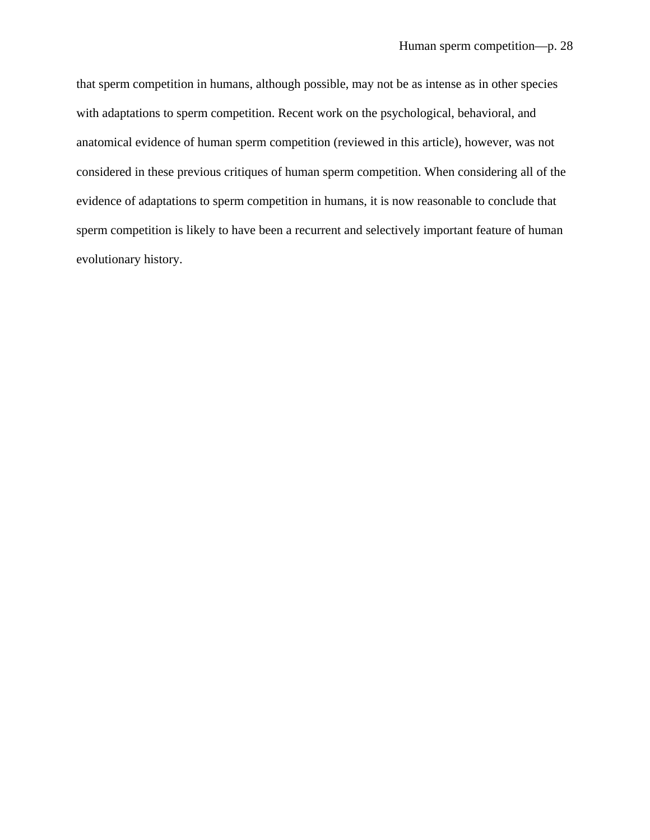that sperm competition in humans, although possible, may not be as intense as in other species with adaptations to sperm competition. Recent work on the psychological, behavioral, and anatomical evidence of human sperm competition (reviewed in this article), however, was not considered in these previous critiques of human sperm competition. When considering all of the evidence of adaptations to sperm competition in humans, it is now reasonable to conclude that sperm competition is likely to have been a recurrent and selectively important feature of human evolutionary history.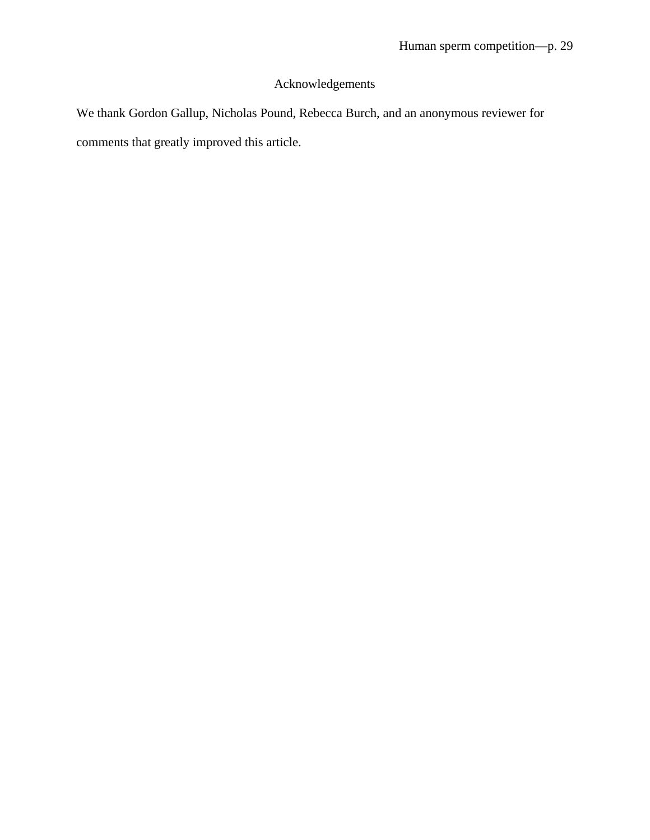# Acknowledgements

We thank Gordon Gallup, Nicholas Pound, Rebecca Burch, and an anonymous reviewer for comments that greatly improved this article.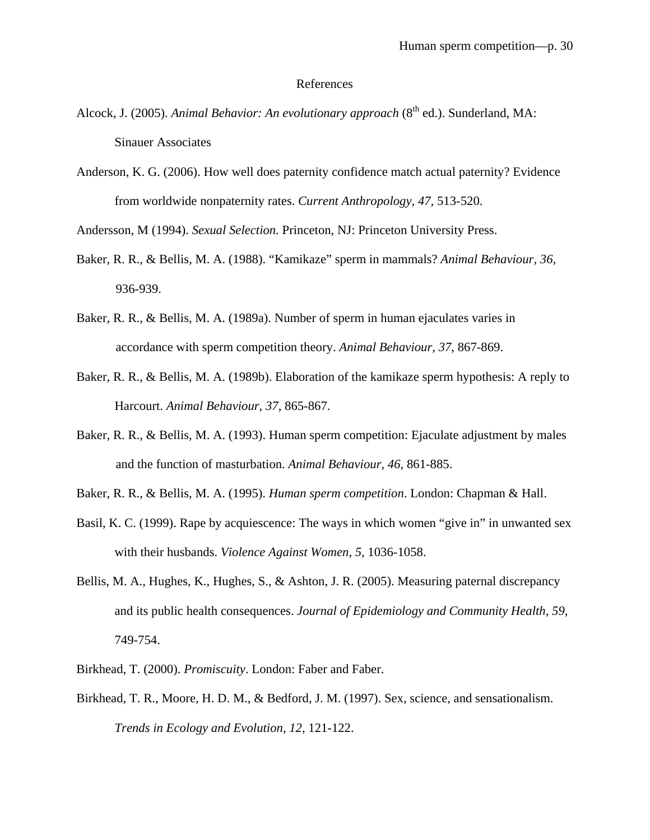#### References

- Alcock, J. (2005). *Animal Behavior: An evolutionary approach* (8<sup>th</sup> ed.). Sunderland, MA: Sinauer Associates
- Anderson, K. G. (2006). How well does paternity confidence match actual paternity? Evidence from worldwide nonpaternity rates. *Current Anthropology, 47,* 513-520.

Andersson, M (1994). *Sexual Selection.* Princeton, NJ: Princeton University Press.

- Baker, R. R., & Bellis, M. A. (1988). "Kamikaze" sperm in mammals? *Animal Behaviour, 36*, 936-939.
- Baker, R. R., & Bellis, M. A. (1989a). Number of sperm in human ejaculates varies in accordance with sperm competition theory. *Animal Behaviour, 37*, 867-869.
- Baker, R. R., & Bellis, M. A. (1989b). Elaboration of the kamikaze sperm hypothesis: A reply to Harcourt. *Animal Behaviour, 37*, 865-867.
- Baker, R. R., & Bellis, M. A. (1993). Human sperm competition: Ejaculate adjustment by males and the function of masturbation. *Animal Behaviour, 46*, 861-885.
- Baker, R. R., & Bellis, M. A. (1995). *Human sperm competition*. London: Chapman & Hall.
- Basil, K. C. (1999). Rape by acquiescence: The ways in which women "give in" in unwanted sex with their husbands. *Violence Against Women, 5*, 1036-1058.
- Bellis, M. A., Hughes, K., Hughes, S., & Ashton, J. R. (2005). Measuring paternal discrepancy and its public health consequences. *Journal of Epidemiology and Community Health, 59*, 749-754.
- Birkhead, T. (2000). *Promiscuity*. London: Faber and Faber.
- Birkhead, T. R., Moore, H. D. M., & Bedford, J. M. (1997). Sex, science, and sensationalism. *Trends in Ecology and Evolution, 12*, 121-122.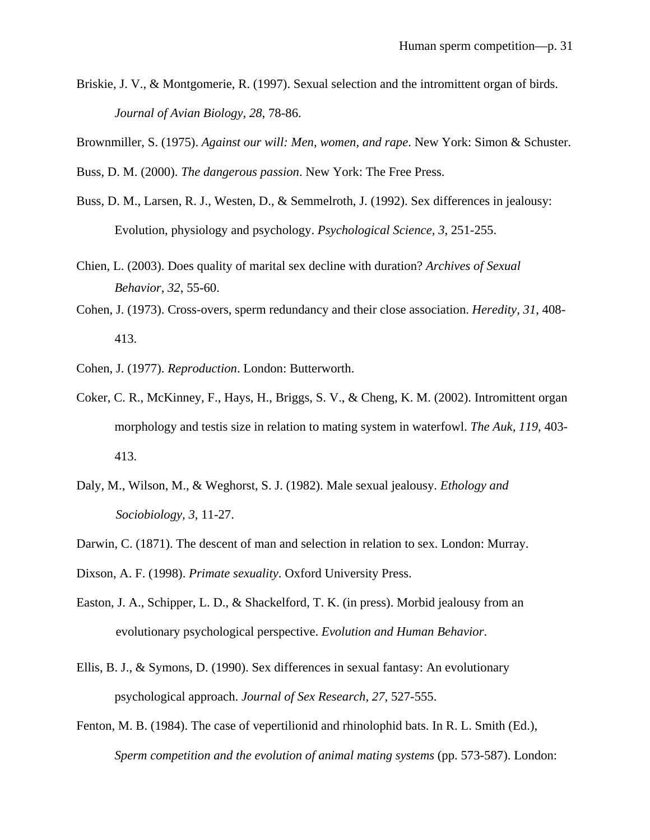- Briskie, J. V., & Montgomerie, R. (1997). Sexual selection and the intromittent organ of birds. *Journal of Avian Biology, 28*, 78-86.
- Brownmiller, S. (1975). *Against our will: Men, women, and rape*. New York: Simon & Schuster.
- Buss, D. M. (2000). *The dangerous passion*. New York: The Free Press.
- Buss, D. M., Larsen, R. J., Westen, D., & Semmelroth, J. (1992). Sex differences in jealousy: Evolution, physiology and psychology. *Psychological Science, 3*, 251-255.
- Chien, L. (2003). Does quality of marital sex decline with duration? *Archives of Sexual Behavior, 32*, 55-60.
- Cohen, J. (1973). Cross-overs, sperm redundancy and their close association. *Heredity, 31*, 408- 413.
- Cohen, J. (1977). *Reproduction*. London: Butterworth.
- Coker, C. R., McKinney, F., Hays, H., Briggs, S. V., & Cheng, K. M. (2002). Intromittent organ morphology and testis size in relation to mating system in waterfowl. *The Auk, 119*, 403- 413.
- Daly, M., Wilson, M., & Weghorst, S. J. (1982). Male sexual jealousy. *Ethology and Sociobiology, 3*, 11-27.
- Darwin, C. (1871). The descent of man and selection in relation to sex. London: Murray.
- Dixson, A. F. (1998). *Primate sexuality*. Oxford University Press.
- Easton, J. A., Schipper, L. D., & Shackelford, T. K. (in press). Morbid jealousy from an evolutionary psychological perspective. *Evolution and Human Behavior*.
- Ellis, B. J., & Symons, D. (1990). Sex differences in sexual fantasy: An evolutionary psychological approach. *Journal of Sex Research, 27*, 527-555.
- Fenton, M. B. (1984). The case of vepertilionid and rhinolophid bats. In R. L. Smith (Ed.), *Sperm competition and the evolution of animal mating systems* (pp. 573-587). London: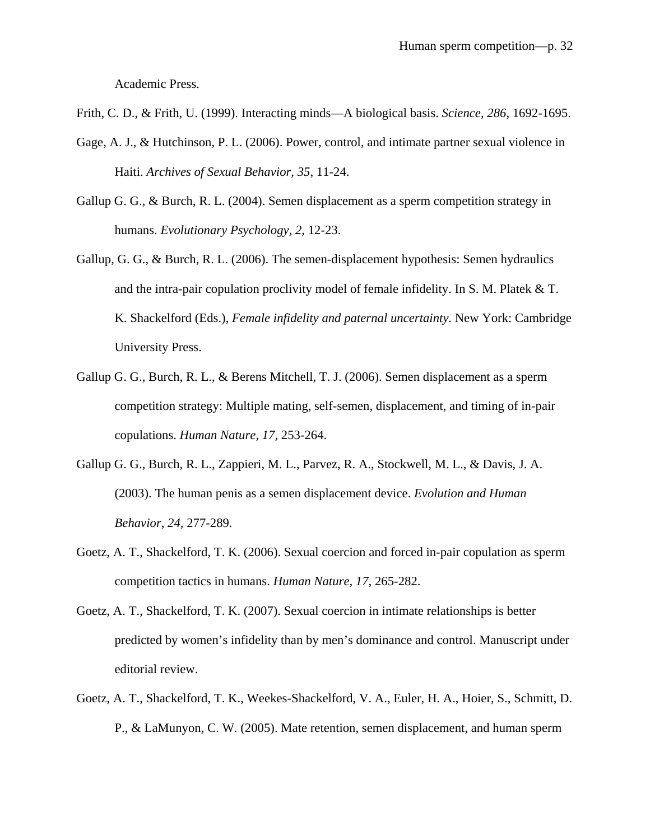Academic Press.

- Frith, C. D., & Frith, U. (1999). Interacting minds—A biological basis. *Science, 286*, 1692-1695.
- Gage, A. J., & Hutchinson, P. L. (2006). Power, control, and intimate partner sexual violence in Haiti. *Archives of Sexual Behavior, 35*, 11-24.
- Gallup G. G., & Burch, R. L. (2004). Semen displacement as a sperm competition strategy in humans. *Evolutionary Psychology, 2*, 12-23.
- Gallup, G. G., & Burch, R. L. (2006). The semen-displacement hypothesis: Semen hydraulics and the intra-pair copulation proclivity model of female infidelity. In S. M. Platek & T. K. Shackelford (Eds.), *Female infidelity and paternal uncertainty*. New York: Cambridge University Press.
- Gallup G. G., Burch, R. L., & Berens Mitchell, T. J. (2006). Semen displacement as a sperm competition strategy: Multiple mating, self-semen, displacement, and timing of in-pair copulations. *Human Nature, 17,* 253-264.
- Gallup G. G., Burch, R. L., Zappieri, M. L., Parvez, R. A., Stockwell, M. L., & Davis, J. A. (2003). The human penis as a semen displacement device. *Evolution and Human Behavior, 24,* 277-289*.*
- Goetz, A. T., Shackelford, T. K. (2006). Sexual coercion and forced in-pair copulation as sperm competition tactics in humans. *Human Nature, 17*, 265-282.
- Goetz, A. T., Shackelford, T. K. (2007). Sexual coercion in intimate relationships is better predicted by women's infidelity than by men's dominance and control. Manuscript under editorial review.
- Goetz, A. T., Shackelford, T. K., Weekes-Shackelford, V. A., Euler, H. A., Hoier, S., Schmitt, D. P., & LaMunyon, C. W. (2005). Mate retention, semen displacement, and human sperm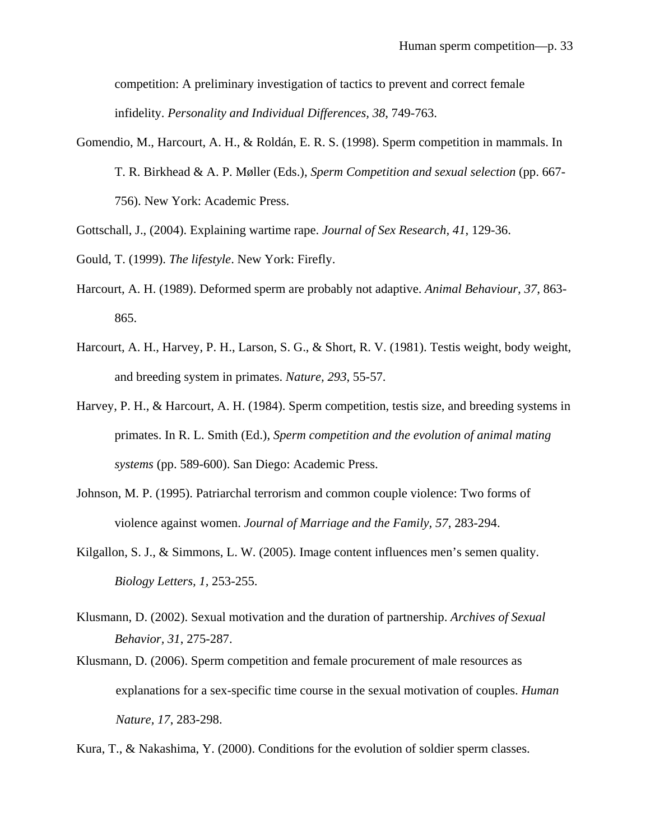competition: A preliminary investigation of tactics to prevent and correct female infidelity. *Personality and Individual Differences, 38*, 749-763.

- Gomendio, M., Harcourt, A. H., & Roldán, E. R. S. (1998). Sperm competition in mammals. In T. R. Birkhead & A. P. Møller (Eds.), *Sperm Competition and sexual selection* (pp. 667- 756). New York: Academic Press.
- Gottschall, J., (2004). Explaining wartime rape. *Journal of Sex Research, 41*, 129-36.
- Gould, T. (1999). *The lifestyle*. New York: Firefly.
- Harcourt, A. H. (1989). Deformed sperm are probably not adaptive. *Animal Behaviour, 37*, 863- 865.
- Harcourt, A. H., Harvey, P. H., Larson, S. G., & Short, R. V. (1981). Testis weight, body weight, and breeding system in primates. *Nature, 293*, 55-57.
- Harvey, P. H., & Harcourt, A. H. (1984). Sperm competition, testis size, and breeding systems in primates. In R. L. Smith (Ed.), *Sperm competition and the evolution of animal mating systems* (pp. 589-600). San Diego: Academic Press.
- Johnson, M. P. (1995). Patriarchal terrorism and common couple violence: Two forms of violence against women. *Journal of Marriage and the Family, 57*, 283-294.
- Kilgallon, S. J., & Simmons, L. W. (2005). Image content influences men's semen quality. *Biology Letters, 1,* 253-255.
- Klusmann, D. (2002). Sexual motivation and the duration of partnership. *Archives of Sexual Behavior, 31*, 275-287.
- Klusmann, D. (2006). Sperm competition and female procurement of male resources as explanations for a sex-specific time course in the sexual motivation of couples. *Human Nature, 17*, 283-298.

Kura, T., & Nakashima, Y. (2000). Conditions for the evolution of soldier sperm classes.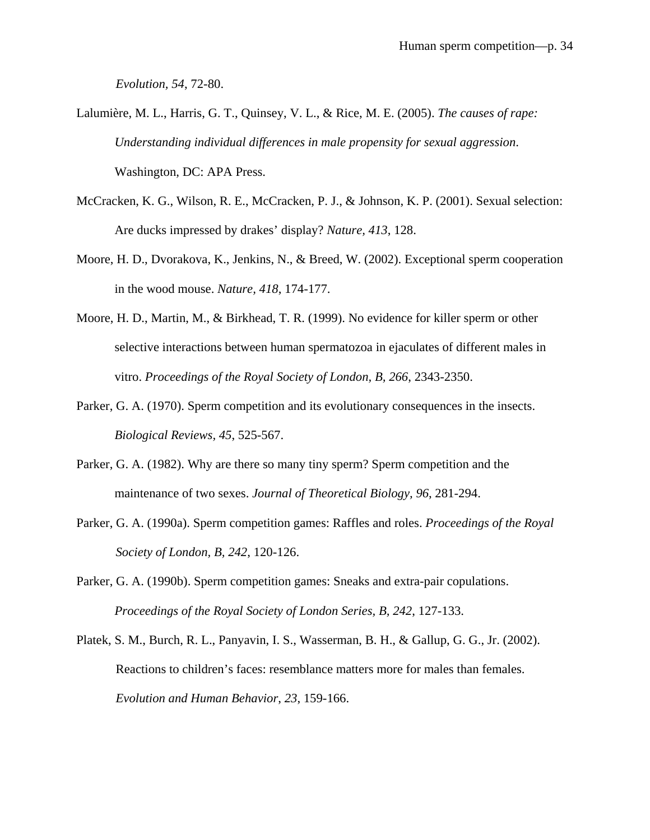*Evolution, 54*, 72-80.

- Lalumière, M. L., Harris, G. T., Quinsey, V. L., & Rice, M. E. (2005). *The causes of rape: Understanding individual differences in male propensity for sexual aggression*. Washington, DC: APA Press.
- McCracken, K. G., Wilson, R. E., McCracken, P. J., & Johnson, K. P. (2001). Sexual selection: Are ducks impressed by drakes' display? *Nature, 413*, 128.
- Moore, H. D., Dvorakova, K., Jenkins, N., & Breed, W. (2002). Exceptional sperm cooperation in the wood mouse. *Nature, 418*, 174-177.
- Moore, H. D., Martin, M., & Birkhead, T. R. (1999). No evidence for killer sperm or other selective interactions between human spermatozoa in ejaculates of different males in vitro. *Proceedings of the Royal Society of London, B, 266*, 2343-2350.
- Parker, G. A. (1970). Sperm competition and its evolutionary consequences in the insects. *Biological Reviews, 45*, 525-567.
- Parker, G. A. (1982). Why are there so many tiny sperm? Sperm competition and the maintenance of two sexes. *Journal of Theoretical Biology, 96*, 281-294.
- Parker, G. A. (1990a). Sperm competition games: Raffles and roles. *Proceedings of the Royal Society of London, B, 242*, 120-126.
- Parker, G. A. (1990b). Sperm competition games: Sneaks and extra-pair copulations. *Proceedings of the Royal Society of London Series, B, 242*, 127-133.
- Platek, S. M., Burch, R. L., Panyavin, I. S., Wasserman, B. H., & Gallup, G. G., Jr. (2002). Reactions to children's faces: resemblance matters more for males than females. *Evolution and Human Behavior*, *23*, 159-166.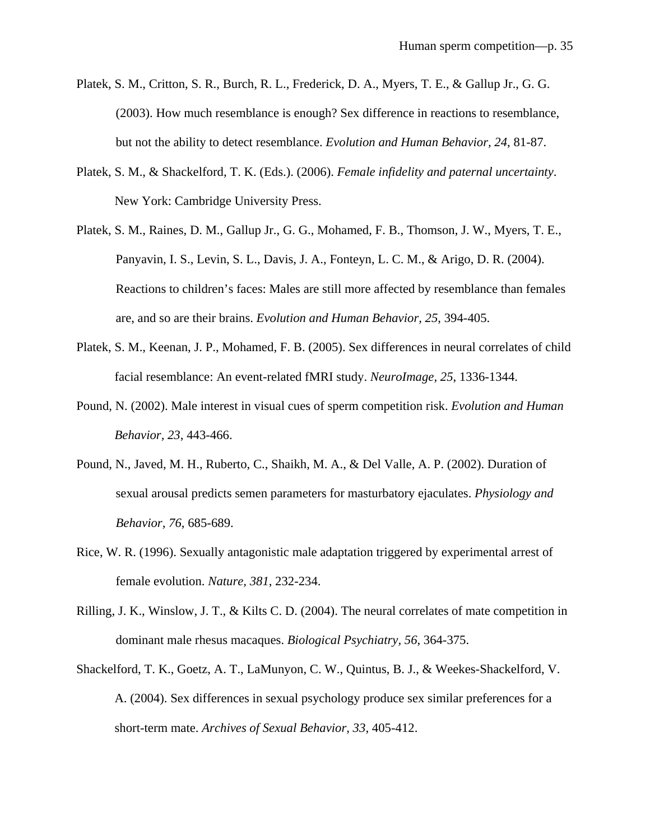- Platek, S. M., Critton, S. R., Burch, R. L., Frederick, D. A., Myers, T. E., & Gallup Jr., G. G. (2003). How much resemblance is enough? Sex difference in reactions to resemblance, but not the ability to detect resemblance. *Evolution and Human Behavior, 24*, 81-87.
- Platek, S. M., & Shackelford, T. K. (Eds.). (2006). *Female infidelity and paternal uncertainty*. New York: Cambridge University Press.
- Platek, S. M., Raines, D. M., Gallup Jr., G. G., Mohamed, F. B., Thomson, J. W., Myers, T. E., Panyavin, I. S., Levin, S. L., Davis, J. A., Fonteyn, L. C. M., & Arigo, D. R. (2004). Reactions to children's faces: Males are still more affected by resemblance than females are, and so are their brains. *Evolution and Human Behavior, 25*, 394-405.
- Platek, S. M., Keenan, J. P., Mohamed, F. B. (2005). Sex differences in neural correlates of child facial resemblance: An event-related fMRI study. *NeuroImage, 25*, 1336-1344.
- Pound, N. (2002). Male interest in visual cues of sperm competition risk. *Evolution and Human Behavior, 23*, 443-466.
- Pound, N., Javed, M. H., Ruberto, C., Shaikh, M. A., & Del Valle, A. P. (2002). Duration of sexual arousal predicts semen parameters for masturbatory ejaculates. *Physiology and Behavior, 76*, 685-689.
- Rice, W. R. (1996). Sexually antagonistic male adaptation triggered by experimental arrest of female evolution. *Nature, 381*, 232-234.
- Rilling, J. K., Winslow, J. T., & Kilts C. D. (2004). The neural correlates of mate competition in dominant male rhesus macaques. *Biological Psychiatry, 56*, 364-375.
- Shackelford, T. K., Goetz, A. T., LaMunyon, C. W., Quintus, B. J., & Weekes-Shackelford, V. A. (2004). Sex differences in sexual psychology produce sex similar preferences for a short-term mate. *Archives of Sexual Behavior, 33*, 405-412.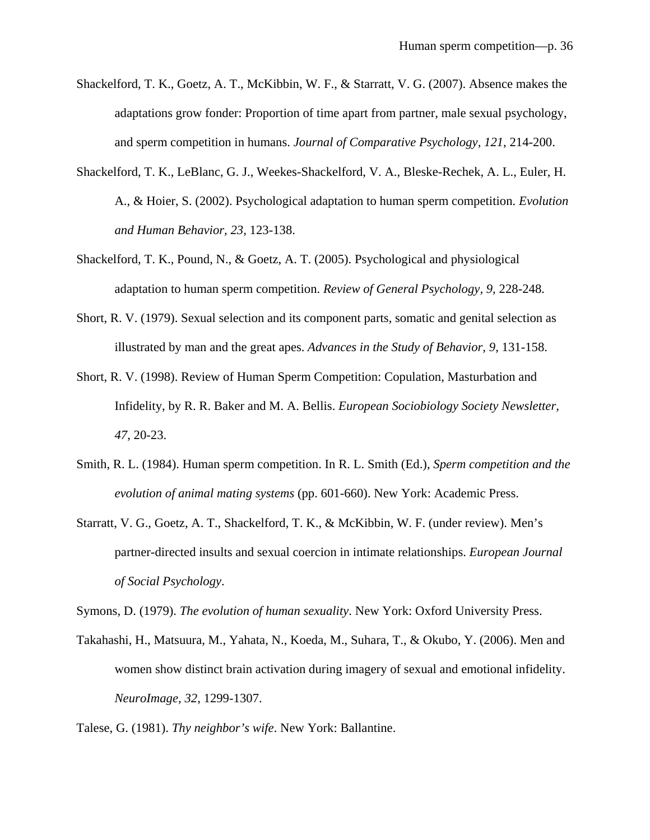- Shackelford, T. K., Goetz, A. T., McKibbin, W. F., & Starratt, V. G. (2007). Absence makes the adaptations grow fonder: Proportion of time apart from partner, male sexual psychology, and sperm competition in humans. *Journal of Comparative Psychology, 121*, 214-200.
- Shackelford, T. K., LeBlanc, G. J., Weekes-Shackelford, V. A., Bleske-Rechek, A. L., Euler, H. A., & Hoier, S. (2002). Psychological adaptation to human sperm competition. *Evolution and Human Behavior, 23,* 123-138.
- Shackelford, T. K., Pound, N., & Goetz, A. T. (2005). Psychological and physiological adaptation to human sperm competition. *Review of General Psychology, 9,* 228-248.
- Short, R. V. (1979). Sexual selection and its component parts, somatic and genital selection as illustrated by man and the great apes. *Advances in the Study of Behavior, 9*, 131-158.
- Short, R. V. (1998). Review of Human Sperm Competition: Copulation, Masturbation and Infidelity, by R. R. Baker and M. A. Bellis. *European Sociobiology Society Newsletter, 47*, 20-23.
- Smith, R. L. (1984). Human sperm competition. In R. L. Smith (Ed.), *Sperm competition and the evolution of animal mating systems* (pp. 601-660). New York: Academic Press.
- Starratt, V. G., Goetz, A. T., Shackelford, T. K., & McKibbin, W. F. (under review). Men's partner-directed insults and sexual coercion in intimate relationships. *European Journal of Social Psychology*.

Symons, D. (1979). *The evolution of human sexuality*. New York: Oxford University Press.

Takahashi, H., Matsuura, M., Yahata, N., Koeda, M., Suhara, T., & Okubo, Y. (2006). Men and women show distinct brain activation during imagery of sexual and emotional infidelity. *NeuroImage, 32*, 1299-1307.

Talese, G. (1981). *Thy neighbor's wife*. New York: Ballantine.